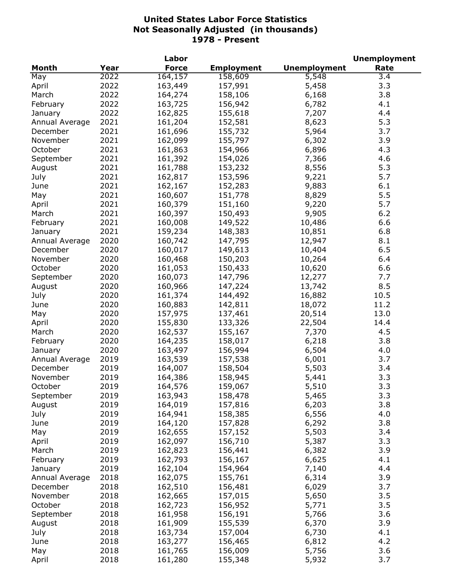|                |      | Labor        |                   |                     | <b>Unemployment</b> |
|----------------|------|--------------|-------------------|---------------------|---------------------|
| <b>Month</b>   | Year | <b>Force</b> | <b>Employment</b> | <b>Unemployment</b> | Rate                |
| May            | 2022 | 164,157      | 158,609           | 5,548               | $\overline{3.4}$    |
| April          | 2022 | 163,449      | 157,991           | 5,458               | 3.3                 |
| March          | 2022 | 164,274      | 158,106           | 6,168               | 3.8                 |
| February       | 2022 | 163,725      | 156,942           | 6,782               | 4.1                 |
| January        | 2022 | 162,825      | 155,618           | 7,207               | 4.4                 |
| Annual Average | 2021 | 161,204      | 152,581           | 8,623               | 5.3                 |
| December       | 2021 | 161,696      | 155,732           | 5,964               | 3.7                 |
| November       | 2021 | 162,099      | 155,797           | 6,302               | 3.9                 |
| October        | 2021 | 161,863      | 154,966           | 6,896               | 4.3                 |
| September      | 2021 | 161,392      | 154,026           | 7,366               | 4.6                 |
| August         | 2021 | 161,788      | 153,232           | 8,556               | 5.3                 |
| July           | 2021 | 162,817      | 153,596           | 9,221               | 5.7                 |
| June           | 2021 | 162,167      | 152,283           | 9,883               | 6.1                 |
|                | 2021 |              |                   |                     | 5.5                 |
| May            |      | 160,607      | 151,778           | 8,829               |                     |
| April          | 2021 | 160,379      | 151,160           | 9,220               | 5.7                 |
| March          | 2021 | 160,397      | 150,493           | 9,905               | 6.2                 |
| February       | 2021 | 160,008      | 149,522           | 10,486              | 6.6                 |
| January        | 2021 | 159,234      | 148,383           | 10,851              | 6.8                 |
| Annual Average | 2020 | 160,742      | 147,795           | 12,947              | 8.1                 |
| December       | 2020 | 160,017      | 149,613           | 10,404              | 6.5                 |
| November       | 2020 | 160,468      | 150,203           | 10,264              | 6.4                 |
| October        | 2020 | 161,053      | 150,433           | 10,620              | 6.6                 |
| September      | 2020 | 160,073      | 147,796           | 12,277              | 7.7                 |
| August         | 2020 | 160,966      | 147,224           | 13,742              | 8.5                 |
| July           | 2020 | 161,374      | 144,492           | 16,882              | 10.5                |
| June           | 2020 | 160,883      | 142,811           | 18,072              | 11.2                |
| May            | 2020 | 157,975      | 137,461           | 20,514              | 13.0                |
| April          | 2020 | 155,830      | 133,326           | 22,504              | 14.4                |
| March          | 2020 | 162,537      | 155,167           | 7,370               | 4.5                 |
| February       | 2020 | 164,235      | 158,017           | 6,218               | 3.8                 |
| January        | 2020 | 163,497      | 156,994           | 6,504               | 4.0                 |
| Annual Average | 2019 | 163,539      | 157,538           | 6,001               | 3.7                 |
| December       | 2019 | 164,007      | 158,504           | 5,503               | 3.4                 |
| November       | 2019 | 164,386      | 158,945           | 5,441               | 3.3                 |
| October        | 2019 | 164,576      | 159,067           | 5,510               | 3.3                 |
| September      | 2019 | 163,943      | 158,478           | 5,465               | 3.3                 |
| August         | 2019 | 164,019      | 157,816           | 6,203               | 3.8                 |
| July           | 2019 | 164,941      | 158,385           | 6,556               | 4.0                 |
| June           | 2019 | 164,120      | 157,828           | 6,292               | 3.8                 |
| May            | 2019 | 162,655      | 157,152           | 5,503               | 3.4                 |
| April          | 2019 | 162,097      | 156,710           | 5,387               | 3.3                 |
| March          | 2019 | 162,823      | 156,441           | 6,382               | 3.9                 |
| February       | 2019 | 162,793      | 156,167           | 6,625               | 4.1                 |
| January        | 2019 | 162,104      | 154,964           | 7,140               | 4.4                 |
| Annual Average | 2018 | 162,075      | 155,761           | 6,314               | 3.9                 |
| December       | 2018 | 162,510      | 156,481           | 6,029               | 3.7                 |
| November       | 2018 | 162,665      | 157,015           | 5,650               | 3.5                 |
| October        | 2018 | 162,723      | 156,952           | 5,771               | 3.5                 |
| September      | 2018 | 161,958      | 156,191           | 5,766               | 3.6                 |
|                |      | 161,909      |                   |                     | 3.9                 |
| August         | 2018 |              | 155,539           | 6,370               | 4.1                 |
| July           | 2018 | 163,734      | 157,004           | 6,730               |                     |
| June           | 2018 | 163,277      | 156,465           | 6,812               | 4.2                 |
| May            | 2018 | 161,765      | 156,009           | 5,756               | 3.6                 |
| April          | 2018 | 161,280      | 155,348           | 5,932               | 3.7                 |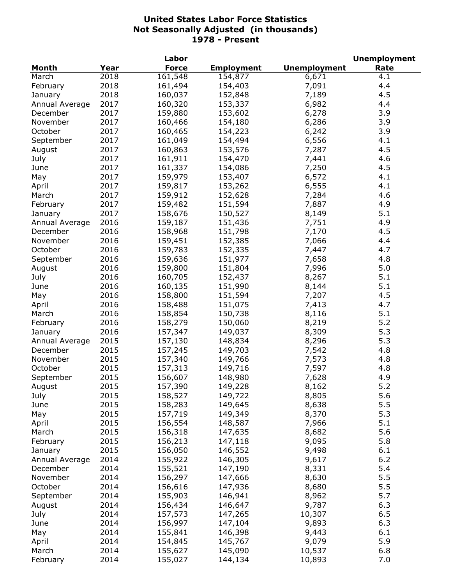|                            |      | Labor        |                   |                     | <b>Unemployment</b> |
|----------------------------|------|--------------|-------------------|---------------------|---------------------|
| <b>Month</b>               | Year | <b>Force</b> | <b>Employment</b> | <b>Unemployment</b> | Rate                |
| March                      | 2018 | 161,548      | 154,877           | 6,671               | 4.1                 |
| February                   | 2018 | 161,494      | 154,403           | 7,091               | 4.4                 |
| January                    | 2018 | 160,037      | 152,848           | 7,189               | 4.5                 |
| Annual Average             | 2017 | 160,320      | 153,337           | 6,982               | 4.4                 |
| December                   | 2017 | 159,880      | 153,602           | 6,278               | 3.9                 |
| November                   | 2017 | 160,466      | 154,180           | 6,286               | 3.9                 |
| October                    | 2017 | 160,465      | 154,223           | 6,242               | 3.9                 |
| September                  | 2017 | 161,049      | 154,494           | 6,556               | 4.1                 |
| August                     | 2017 | 160,863      | 153,576           | 7,287               | 4.5                 |
| July                       | 2017 | 161,911      | 154,470           | 7,441               | 4.6                 |
| June                       | 2017 | 161,337      | 154,086           | 7,250               | 4.5                 |
| May                        | 2017 | 159,979      | 153,407           | 6,572               | 4.1                 |
| April                      | 2017 | 159,817      | 153,262           | 6,555               | 4.1                 |
| March                      | 2017 | 159,912      | 152,628           | 7,284               | 4.6                 |
| February                   | 2017 | 159,482      | 151,594           | 7,887               | 4.9                 |
| January                    | 2017 | 158,676      | 150,527           | 8,149               | 5.1                 |
| Annual Average             | 2016 | 159,187      | 151,436           | 7,751               | 4.9                 |
| December                   | 2016 | 158,968      | 151,798           | 7,170               | 4.5                 |
| November                   | 2016 | 159,451      | 152,385           | 7,066               | 4.4                 |
| October                    | 2016 | 159,783      | 152,335           | 7,447               | 4.7                 |
| September                  | 2016 | 159,636      | 151,977           | 7,658               | 4.8                 |
| August                     | 2016 | 159,800      | 151,804           | 7,996               | 5.0                 |
| July                       | 2016 | 160,705      | 152,437           | 8,267               | 5.1                 |
| June                       | 2016 | 160,135      | 151,990           | 8,144               | 5.1                 |
| May                        | 2016 | 158,800      | 151,594           | 7,207               | 4.5                 |
| April                      | 2016 | 158,488      | 151,075           | 7,413               | 4.7                 |
| March                      | 2016 | 158,854      | 150,738           | 8,116               | 5.1                 |
| February                   | 2016 | 158,279      | 150,060           | 8,219               | 5.2                 |
| January                    | 2016 | 157,347      | 149,037           | 8,309               | 5.3                 |
| Annual Average             | 2015 | 157,130      | 148,834           | 8,296               | 5.3                 |
| December                   | 2015 | 157,245      | 149,703           | 7,542               | 4.8                 |
| November                   | 2015 | 157,340      | 149,766           | 7,573               | 4.8                 |
| October                    | 2015 | 157,313      | 149,716           | 7,597               | 4.8                 |
| September                  | 2015 | 156,607      | 148,980           | 7,628               | 4.9                 |
| August                     | 2015 | 157,390      | 149,228           | 8,162               | $5.2$               |
| July                       | 2015 | 158,527      | 149,722           | 8,805               | 5.6                 |
| June                       | 2015 | 158,283      | 149,645           | 8,638               | 5.5                 |
| May                        | 2015 | 157,719      | 149,349           | 8,370               | 5.3                 |
| April                      | 2015 | 156,554      | 148,587           | 7,966               | 5.1                 |
| March                      | 2015 | 156,318      | 147,635           | 8,682               | 5.6                 |
| February                   | 2015 | 156,213      | 147,118           | 9,095               | 5.8                 |
|                            | 2015 | 156,050      | 146,552           | 9,498               | 6.1                 |
| January                    | 2014 | 155,922      | 146,305           | 9,617               | 6.2                 |
| Annual Average<br>December |      |              |                   | 8,331               | 5.4                 |
|                            | 2014 | 155,521      | 147,190           |                     |                     |
| November                   | 2014 | 156,297      | 147,666           | 8,630               | 5.5                 |
| October                    | 2014 | 156,616      | 147,936           | 8,680               | 5.5                 |
| September                  | 2014 | 155,903      | 146,941           | 8,962               | 5.7                 |
| August                     | 2014 | 156,434      | 146,647           | 9,787               | 6.3                 |
| July                       | 2014 | 157,573      | 147,265           | 10,307              | 6.5                 |
| June                       | 2014 | 156,997      | 147,104           | 9,893               | 6.3                 |
| May                        | 2014 | 155,841      | 146,398           | 9,443               | 6.1                 |
| April                      | 2014 | 154,845      | 145,767           | 9,079               | 5.9                 |
| March                      | 2014 | 155,627      | 145,090           | 10,537              | 6.8                 |
| February                   | 2014 | 155,027      | 144,134           | 10,893              | 7.0                 |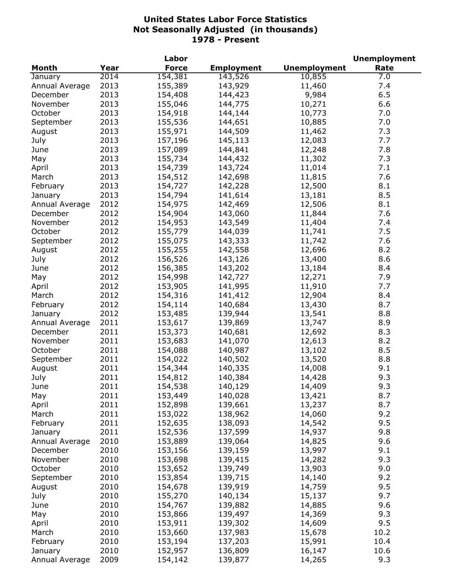|                |      | Labor        |                   |                     | <b>Unemployment</b> |
|----------------|------|--------------|-------------------|---------------------|---------------------|
| <b>Month</b>   | Year | <b>Force</b> | <b>Employment</b> | <b>Unemployment</b> | Rate                |
| January        | 2014 | 154,381      | 143,526           | 10,855              | 7.0                 |
| Annual Average | 2013 | 155,389      | 143,929           | 11,460              | 7.4                 |
| December       | 2013 | 154,408      | 144,423           | 9,984               | 6.5                 |
| November       | 2013 | 155,046      | 144,775           | 10,271              | 6.6                 |
| October        | 2013 | 154,918      | 144,144           | 10,773              | 7.0                 |
| September      | 2013 | 155,536      | 144,651           | 10,885              | 7.0                 |
| August         | 2013 | 155,971      | 144,509           | 11,462              | 7.3                 |
| July           | 2013 | 157,196      | 145,113           | 12,083              | 7.7                 |
| June           | 2013 | 157,089      | 144,841           | 12,248              | 7.8                 |
| May            | 2013 | 155,734      | 144,432           | 11,302              | 7.3                 |
| April          | 2013 | 154,739      | 143,724           | 11,014              | 7.1                 |
| March          | 2013 | 154,512      | 142,698           | 11,815              | 7.6                 |
| February       | 2013 | 154,727      | 142,228           | 12,500              | 8.1                 |
| January        | 2013 | 154,794      | 141,614           | 13,181              | 8.5                 |
| Annual Average | 2012 | 154,975      | 142,469           | 12,506              | 8.1                 |
| December       | 2012 | 154,904      | 143,060           | 11,844              | 7.6                 |
| November       | 2012 | 154,953      | 143,549           | 11,404              | 7.4                 |
| October        | 2012 | 155,779      | 144,039           | 11,741              | 7.5                 |
| September      | 2012 | 155,075      | 143,333           | 11,742              | 7.6                 |
| August         | 2012 | 155,255      | 142,558           | 12,696              | 8.2                 |
| July           | 2012 | 156,526      | 143,126           | 13,400              | 8.6                 |
| June           | 2012 | 156,385      | 143,202           | 13,184              | 8.4                 |
| May            | 2012 | 154,998      | 142,727           | 12,271              | 7.9                 |
| April          | 2012 | 153,905      | 141,995           | 11,910              | 7.7                 |
| March          | 2012 | 154,316      | 141,412           | 12,904              | 8.4                 |
| February       | 2012 | 154,114      | 140,684           | 13,430              | 8.7                 |
| January        | 2012 | 153,485      | 139,944           | 13,541              | 8.8                 |
| Annual Average | 2011 | 153,617      | 139,869           | 13,747              | 8.9                 |
| December       | 2011 | 153,373      | 140,681           | 12,692              | 8.3                 |
| November       | 2011 | 153,683      | 141,070           | 12,613              | 8.2                 |
| October        | 2011 | 154,088      | 140,987           | 13,102              | 8.5                 |
| September      | 2011 | 154,022      | 140,502           | 13,520              | 8.8                 |
| August         | 2011 | 154,344      | 140,335           | 14,008              | 9.1                 |
| July           | 2011 | 154,812      | 140,384           | 14,428              | 9.3                 |
| June           | 2011 | 154,538      | 140,129           | 14,409              | 9.3                 |
| May            | 2011 | 153,449      | 140,028           | 13,421              | 8.7                 |
| April          | 2011 | 152,898      | 139,661           | 13,237              | 8.7                 |
| March          | 2011 | 153,022      | 138,962           | 14,060              | 9.2                 |
| February       | 2011 | 152,635      | 138,093           | 14,542              | 9.5                 |
| January        | 2011 | 152,536      | 137,599           | 14,937              | 9.8                 |
| Annual Average | 2010 | 153,889      | 139,064           | 14,825              | 9.6                 |
| December       | 2010 | 153,156      | 139,159           | 13,997              | 9.1                 |
| November       | 2010 | 153,698      | 139,415           | 14,282              | 9.3                 |
| October        | 2010 | 153,652      | 139,749           | 13,903              | 9.0                 |
| September      | 2010 | 153,854      | 139,715           | 14,140              | 9.2                 |
| August         | 2010 | 154,678      | 139,919           | 14,759              | 9.5                 |
| July           | 2010 | 155,270      | 140,134           | 15,137              | 9.7                 |
| June           | 2010 | 154,767      | 139,882           | 14,885              | 9.6                 |
| May            | 2010 | 153,866      | 139,497           | 14,369              | 9.3                 |
| April          | 2010 | 153,911      | 139,302           | 14,609              | 9.5                 |
| March          | 2010 | 153,660      | 137,983           | 15,678              | 10.2                |
| February       | 2010 | 153,194      | 137,203           | 15,991              | 10.4                |
| January        | 2010 | 152,957      | 136,809           | 16,147              | 10.6                |
| Annual Average | 2009 | 154,142      | 139,877           | 14,265              | 9.3                 |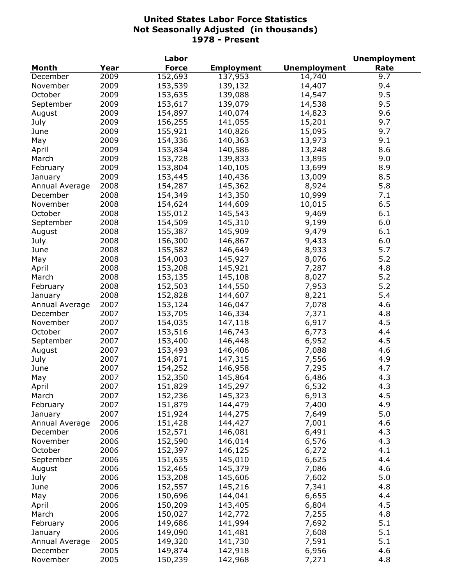|                |      | Labor        |                   |                     | <b>Unemployment</b> |
|----------------|------|--------------|-------------------|---------------------|---------------------|
| <b>Month</b>   | Year | <b>Force</b> | <b>Employment</b> | <b>Unemployment</b> | Rate                |
| December       | 2009 | 152,693      | 137,953           | 14,740              | 9.7                 |
| November       | 2009 | 153,539      | 139,132           | 14,407              | 9.4                 |
| October        | 2009 | 153,635      | 139,088           | 14,547              | 9.5                 |
| September      | 2009 | 153,617      | 139,079           | 14,538              | 9.5                 |
| August         | 2009 | 154,897      | 140,074           | 14,823              | 9.6                 |
| July           | 2009 | 156,255      | 141,055           | 15,201              | 9.7                 |
| June           | 2009 | 155,921      | 140,826           | 15,095              | 9.7                 |
| May            | 2009 | 154,336      | 140,363           | 13,973              | 9.1                 |
| April          | 2009 | 153,834      | 140,586           | 13,248              | 8.6                 |
| March          | 2009 | 153,728      | 139,833           | 13,895              | 9.0                 |
| February       | 2009 | 153,804      | 140,105           | 13,699              | 8.9                 |
| January        | 2009 | 153,445      | 140,436           | 13,009              | 8.5                 |
| Annual Average | 2008 | 154,287      | 145,362           | 8,924               | 5.8                 |
| December       | 2008 | 154,349      | 143,350           | 10,999              | 7.1                 |
| November       | 2008 | 154,624      | 144,609           | 10,015              | 6.5                 |
| October        | 2008 | 155,012      | 145,543           | 9,469               | 6.1                 |
| September      | 2008 | 154,509      | 145,310           | 9,199               | 6.0                 |
| August         | 2008 | 155,387      | 145,909           | 9,479               | 6.1                 |
| July           | 2008 | 156,300      | 146,867           | 9,433               | 6.0                 |
| June           | 2008 | 155,582      | 146,649           | 8,933               | 5.7                 |
| May            | 2008 | 154,003      | 145,927           | 8,076               | 5.2                 |
| April          | 2008 | 153,208      | 145,921           | 7,287               | 4.8                 |
| March          | 2008 | 153,135      | 145,108           | 8,027               | 5.2                 |
| February       | 2008 | 152,503      | 144,550           | 7,953               | 5.2                 |
| January        | 2008 | 152,828      | 144,607           | 8,221               | 5.4                 |
| Annual Average | 2007 | 153,124      | 146,047           | 7,078               | 4.6                 |
| December       | 2007 | 153,705      | 146,334           | 7,371               | 4.8                 |
| November       | 2007 | 154,035      | 147,118           | 6,917               | 4.5                 |
| October        | 2007 | 153,516      | 146,743           | 6,773               | 4.4                 |
| September      | 2007 | 153,400      | 146,448           | 6,952               | 4.5                 |
| August         | 2007 | 153,493      | 146,406           | 7,088               | 4.6                 |
| July           | 2007 | 154,871      | 147,315           | 7,556               | 4.9                 |
| June           | 2007 | 154,252      | 146,958           | 7,295               | 4.7                 |
| May            | 2007 | 152,350      | 145,864           | 6,486               | 4.3                 |
| April          | 2007 | 151,829      | 145,297           | 6,532               | 4.3                 |
| March          | 2007 | 152,236      | 145,323           | 6,913               | 4.5                 |
| February       | 2007 | 151,879      | 144,479           | 7,400               | 4.9                 |
| January        | 2007 | 151,924      | 144,275           | 7,649               | 5.0                 |
| Annual Average | 2006 | 151,428      | 144,427           | 7,001               | 4.6                 |
| December       | 2006 | 152,571      | 146,081           | 6,491               | 4.3                 |
| November       | 2006 | 152,590      | 146,014           | 6,576               | 4.3                 |
| October        | 2006 | 152,397      | 146,125           | 6,272               | 4.1                 |
| September      | 2006 | 151,635      | 145,010           | 6,625               | 4.4                 |
| August         | 2006 | 152,465      | 145,379           | 7,086               | 4.6                 |
| July           | 2006 | 153,208      | 145,606           | 7,602               | 5.0                 |
| June           | 2006 | 152,557      | 145,216           | 7,341               | 4.8                 |
| May            | 2006 | 150,696      | 144,041           | 6,655               | 4.4                 |
|                | 2006 | 150,209      | 143,405           | 6,804               | 4.5                 |
| April          |      |              |                   |                     | 4.8                 |
| March          | 2006 | 150,027      | 142,772           | 7,255               | 5.1                 |
| February       | 2006 | 149,686      | 141,994           | 7,692               | 5.1                 |
| January        | 2006 | 149,090      | 141,481           | 7,608               |                     |
| Annual Average | 2005 | 149,320      | 141,730           | 7,591               | 5.1                 |
| December       | 2005 | 149,874      | 142,918           | 6,956               | 4.6                 |
| November       | 2005 | 150,239      | 142,968           | 7,271               | 4.8                 |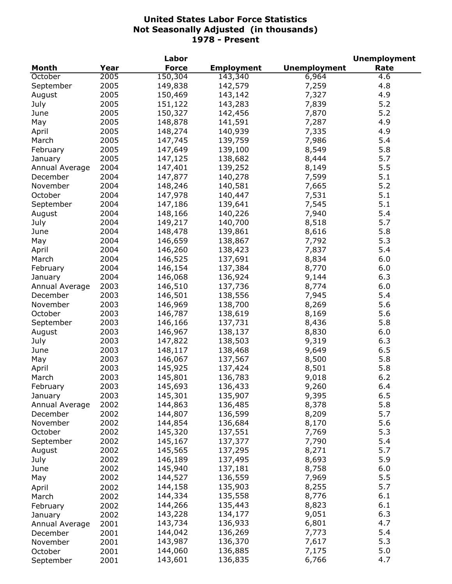|                |      | Labor        |                   |                     | <b>Unemployment</b> |
|----------------|------|--------------|-------------------|---------------------|---------------------|
| Month          | Year | <b>Force</b> | <b>Employment</b> | <b>Unemployment</b> | Rate                |
| October        | 2005 | 150,304      | 143,340           | 6,964               | 4.6                 |
| September      | 2005 | 149,838      | 142,579           | 7,259               | 4.8                 |
| August         | 2005 | 150,469      | 143,142           | 7,327               | 4.9                 |
| July           | 2005 | 151,122      | 143,283           | 7,839               | 5.2                 |
| June           | 2005 | 150,327      | 142,456           | 7,870               | 5.2                 |
| May            | 2005 | 148,878      | 141,591           | 7,287               | 4.9                 |
| April          | 2005 | 148,274      | 140,939           | 7,335               | 4.9                 |
| March          | 2005 | 147,745      | 139,759           | 7,986               | 5.4                 |
| February       | 2005 | 147,649      | 139,100           | 8,549               | 5.8                 |
| January        | 2005 | 147,125      | 138,682           | 8,444               | 5.7                 |
| Annual Average | 2004 | 147,401      | 139,252           | 8,149               | 5.5                 |
| December       | 2004 | 147,877      | 140,278           | 7,599               | 5.1                 |
| November       | 2004 | 148,246      | 140,581           | 7,665               | 5.2                 |
| October        | 2004 | 147,978      | 140,447           | 7,531               | 5.1                 |
| September      | 2004 | 147,186      | 139,641           | 7,545               | 5.1                 |
| August         | 2004 | 148,166      | 140,226           | 7,940               | 5.4                 |
| July           | 2004 | 149,217      | 140,700           | 8,518               | 5.7                 |
| June           | 2004 | 148,478      | 139,861           | 8,616               | 5.8                 |
| May            | 2004 | 146,659      | 138,867           | 7,792               | 5.3                 |
| April          | 2004 | 146,260      | 138,423           | 7,837               | 5.4                 |
| March          | 2004 | 146,525      | 137,691           | 8,834               | 6.0                 |
| February       | 2004 | 146,154      | 137,384           | 8,770               | 6.0                 |
| January        | 2004 | 146,068      | 136,924           | 9,144               | 6.3                 |
| Annual Average | 2003 | 146,510      | 137,736           | 8,774               | 6.0                 |
| December       | 2003 | 146,501      | 138,556           | 7,945               | 5.4                 |
| November       | 2003 | 146,969      | 138,700           | 8,269               | 5.6                 |
| October        | 2003 | 146,787      | 138,619           | 8,169               | 5.6                 |
| September      | 2003 | 146,166      | 137,731           | 8,436               | 5.8                 |
| August         | 2003 | 146,967      | 138,137           | 8,830               | 6.0                 |
| July           | 2003 | 147,822      | 138,503           | 9,319               | 6.3                 |
| June           | 2003 | 148,117      | 138,468           | 9,649               | 6.5                 |
| May            | 2003 | 146,067      | 137,567           | 8,500               | 5.8                 |
| April          | 2003 | 145,925      | 137,424           | 8,501               | 5.8                 |
| March          | 2003 | 145,801      | 136,783           | 9,018               | 6.2                 |
| February       | 2003 | 145,693      | 136,433           | 9,260               | 6.4                 |
| January        | 2003 | 145,301      | 135,907           | 9,395               | 6.5                 |
| Annual Average | 2002 | 144,863      | 136,485           | 8,378               | 5.8                 |
| December       | 2002 | 144,807      | 136,599           | 8,209               | 5.7                 |
| November       | 2002 | 144,854      | 136,684           | 8,170               | 5.6                 |
| October        | 2002 | 145,320      | 137,551           | 7,769               | 5.3                 |
| September      | 2002 | 145,167      | 137,377           | 7,790               | 5.4                 |
| August         | 2002 | 145,565      | 137,295           | 8,271               | 5.7                 |
| July           | 2002 | 146,189      | 137,495           | 8,693               | 5.9                 |
| June           | 2002 | 145,940      | 137,181           | 8,758               | 6.0                 |
| May            | 2002 | 144,527      | 136,559           | 7,969               | 5.5                 |
|                |      | 144,158      | 135,903           | 8,255               | 5.7                 |
| April          | 2002 | 144,334      | 135,558           | 8,776               | 6.1                 |
| March          | 2002 | 144,266      | 135,443           | 8,823               | 6.1                 |
| February       | 2002 |              |                   |                     | 6.3                 |
| January        | 2002 | 143,228      | 134,177           | 9,051               | 4.7                 |
| Annual Average | 2001 | 143,734      | 136,933           | 6,801               |                     |
| December       | 2001 | 144,042      | 136,269           | 7,773               | 5.4                 |
| November       | 2001 | 143,987      | 136,370           | 7,617               | 5.3                 |
| October        | 2001 | 144,060      | 136,885           | 7,175               | 5.0                 |
| September      | 2001 | 143,601      | 136,835           | 6,766               | 4.7                 |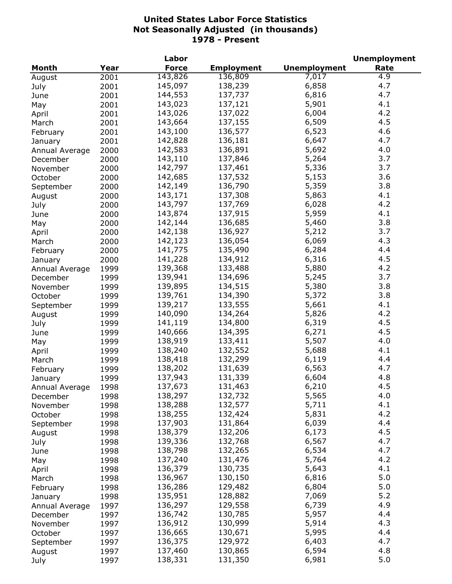| <b>Unemployment</b><br>Year<br><b>Force</b><br><b>Employment</b><br>Rate<br>Month<br>143,826<br>136,809<br>4.9<br>7,017<br>2001<br>August<br>145,097<br>4.7<br>138,239<br>6,858<br>2001<br>July<br>4.7<br>144,553<br>137,737<br>6,816<br>2001<br>June<br>143,023<br>137,121<br>4.1<br>5,901<br>2001<br>May<br>4.2<br>137,022<br>143,026<br>6,004<br>2001<br>April<br>4.5<br>143,664<br>137,155<br>6,509<br>2001<br>March<br>4.6<br>143,100<br>136,577<br>6,523<br>2001<br>February<br>142,828<br>136,181<br>6,647<br>4.7<br>2001<br>January<br>4.0<br>142,583<br>136,891<br>5,692<br>2000<br>Annual Average<br>3.7<br>143,110<br>137,846<br>5,264<br>2000<br>December<br>5,336<br>3.7<br>142,797<br>137,461<br>2000<br>November<br>142,685<br>3.6<br>137,532<br>5,153<br>2000<br>October<br>142,149<br>5,359<br>3.8<br>136,790<br>2000<br>September<br>143,171<br>137,308<br>5,863<br>4.1<br>2000<br>August<br>143,797<br>4.2<br>137,769<br>6,028<br>2000<br>July<br>143,874<br>137,915<br>5,959<br>4.1<br>2000<br>June<br>142,144<br>136,685<br>5,460<br>3.8<br>2000<br>May<br>142,138<br>136,927<br>5,212<br>3.7<br>2000<br>April<br>142,123<br>136,054<br>6,069<br>4.3<br>2000<br>March<br>141,775<br>135,490<br>6,284<br>4.4<br>2000<br>February<br>141,228<br>134,912<br>6,316<br>4.5<br>2000<br>January<br>4.2<br>139,368<br>133,488<br>5,880<br>1999<br>Annual Average<br>3.7<br>139,941<br>134,696<br>5,245<br>1999<br>December<br>3.8<br>139,895<br>134,515<br>5,380<br>1999<br>November<br>139,761<br>3.8<br>134,390<br>5,372<br>1999<br>October<br>4.1<br>139,217<br>133,555<br>5,661<br>1999<br>September<br>5,826<br>4.2<br>140,090<br>134,264<br>1999<br>August<br>6,319<br>4.5<br>141,119<br>134,800<br>1999<br>July<br>6,271<br>4.5<br>140,666<br>134,395<br>1999<br>June<br>138,919<br>133,411<br>5,507<br>4.0<br>1999<br>May<br>138,240<br>132,552<br>4.1<br>5,688<br>1999<br>April<br>138,418<br>132,299<br>4.4<br>6,119<br>1999<br>March<br>138,202<br>131,639<br>6,563<br>4.7<br>February<br>1999<br>137,943<br>131,339<br>6,604<br>4.8<br>1999<br>January<br>131,463<br>6,210<br>137,673<br>4.5<br>Annual Average<br>1998<br>138,297<br>132,732<br>5,565<br>4.0<br>1998<br>December<br>4.1<br>138,288<br>132,577<br>1998<br>5,711<br>November<br>4.2<br>138,255<br>132,424<br>5,831<br>October<br>1998<br>137,903<br>131,864<br>6,039<br>4.4<br>1998<br>September<br>4.5<br>138,379<br>132,206<br>6,173<br>1998<br>August<br>4.7<br>139,336<br>132,768<br>6,567<br>July<br>1998<br>138,798<br>132,265<br>6,534<br>4.7<br>1998<br>June<br>4.2<br>137,240<br>131,476<br>5,764<br>1998<br>May<br>4.1<br>136,379<br>130,735<br>5,643<br>1998<br>April<br>5.0<br>136,967<br>130,150<br>6,816<br>1998<br>March<br>5.0<br>136,286<br>129,482<br>6,804<br>1998<br>February<br>135,951<br>7,069<br>5.2<br>128,882<br>1998<br>January<br>136,297<br>129,558<br>4.9<br>6,739<br>1997<br>Annual Average<br>136,742<br>130,785<br>5,957<br>4.4<br>1997<br>December<br>136,912<br>130,999<br>5,914<br>4.3<br>1997<br>November<br>136,665<br>4.4<br>130,671<br>5,995<br>October<br>1997<br>4.7<br>136,375<br>129,972<br>6,403<br>1997<br>September<br>4.8<br>137,460<br>130,865<br>6,594<br>1997<br>August<br>5.0<br>138,331<br>131,350<br>6,981<br>1997<br>July |  | Labor |  | <b>Unemployment</b> |
|-------------------------------------------------------------------------------------------------------------------------------------------------------------------------------------------------------------------------------------------------------------------------------------------------------------------------------------------------------------------------------------------------------------------------------------------------------------------------------------------------------------------------------------------------------------------------------------------------------------------------------------------------------------------------------------------------------------------------------------------------------------------------------------------------------------------------------------------------------------------------------------------------------------------------------------------------------------------------------------------------------------------------------------------------------------------------------------------------------------------------------------------------------------------------------------------------------------------------------------------------------------------------------------------------------------------------------------------------------------------------------------------------------------------------------------------------------------------------------------------------------------------------------------------------------------------------------------------------------------------------------------------------------------------------------------------------------------------------------------------------------------------------------------------------------------------------------------------------------------------------------------------------------------------------------------------------------------------------------------------------------------------------------------------------------------------------------------------------------------------------------------------------------------------------------------------------------------------------------------------------------------------------------------------------------------------------------------------------------------------------------------------------------------------------------------------------------------------------------------------------------------------------------------------------------------------------------------------------------------------------------------------------------------------------------------------------------------------------------------------------------------------------------------------------------------------------------------------------------------------------------------------------------------------------------------------------------------------------------------------------------------------------------------------------------------------------------------------------------------------------------------------------------------------------------------------------------------------------------------------------------------------------|--|-------|--|---------------------|
|                                                                                                                                                                                                                                                                                                                                                                                                                                                                                                                                                                                                                                                                                                                                                                                                                                                                                                                                                                                                                                                                                                                                                                                                                                                                                                                                                                                                                                                                                                                                                                                                                                                                                                                                                                                                                                                                                                                                                                                                                                                                                                                                                                                                                                                                                                                                                                                                                                                                                                                                                                                                                                                                                                                                                                                                                                                                                                                                                                                                                                                                                                                                                                                                                                                                         |  |       |  |                     |
|                                                                                                                                                                                                                                                                                                                                                                                                                                                                                                                                                                                                                                                                                                                                                                                                                                                                                                                                                                                                                                                                                                                                                                                                                                                                                                                                                                                                                                                                                                                                                                                                                                                                                                                                                                                                                                                                                                                                                                                                                                                                                                                                                                                                                                                                                                                                                                                                                                                                                                                                                                                                                                                                                                                                                                                                                                                                                                                                                                                                                                                                                                                                                                                                                                                                         |  |       |  |                     |
|                                                                                                                                                                                                                                                                                                                                                                                                                                                                                                                                                                                                                                                                                                                                                                                                                                                                                                                                                                                                                                                                                                                                                                                                                                                                                                                                                                                                                                                                                                                                                                                                                                                                                                                                                                                                                                                                                                                                                                                                                                                                                                                                                                                                                                                                                                                                                                                                                                                                                                                                                                                                                                                                                                                                                                                                                                                                                                                                                                                                                                                                                                                                                                                                                                                                         |  |       |  |                     |
|                                                                                                                                                                                                                                                                                                                                                                                                                                                                                                                                                                                                                                                                                                                                                                                                                                                                                                                                                                                                                                                                                                                                                                                                                                                                                                                                                                                                                                                                                                                                                                                                                                                                                                                                                                                                                                                                                                                                                                                                                                                                                                                                                                                                                                                                                                                                                                                                                                                                                                                                                                                                                                                                                                                                                                                                                                                                                                                                                                                                                                                                                                                                                                                                                                                                         |  |       |  |                     |
|                                                                                                                                                                                                                                                                                                                                                                                                                                                                                                                                                                                                                                                                                                                                                                                                                                                                                                                                                                                                                                                                                                                                                                                                                                                                                                                                                                                                                                                                                                                                                                                                                                                                                                                                                                                                                                                                                                                                                                                                                                                                                                                                                                                                                                                                                                                                                                                                                                                                                                                                                                                                                                                                                                                                                                                                                                                                                                                                                                                                                                                                                                                                                                                                                                                                         |  |       |  |                     |
|                                                                                                                                                                                                                                                                                                                                                                                                                                                                                                                                                                                                                                                                                                                                                                                                                                                                                                                                                                                                                                                                                                                                                                                                                                                                                                                                                                                                                                                                                                                                                                                                                                                                                                                                                                                                                                                                                                                                                                                                                                                                                                                                                                                                                                                                                                                                                                                                                                                                                                                                                                                                                                                                                                                                                                                                                                                                                                                                                                                                                                                                                                                                                                                                                                                                         |  |       |  |                     |
|                                                                                                                                                                                                                                                                                                                                                                                                                                                                                                                                                                                                                                                                                                                                                                                                                                                                                                                                                                                                                                                                                                                                                                                                                                                                                                                                                                                                                                                                                                                                                                                                                                                                                                                                                                                                                                                                                                                                                                                                                                                                                                                                                                                                                                                                                                                                                                                                                                                                                                                                                                                                                                                                                                                                                                                                                                                                                                                                                                                                                                                                                                                                                                                                                                                                         |  |       |  |                     |
|                                                                                                                                                                                                                                                                                                                                                                                                                                                                                                                                                                                                                                                                                                                                                                                                                                                                                                                                                                                                                                                                                                                                                                                                                                                                                                                                                                                                                                                                                                                                                                                                                                                                                                                                                                                                                                                                                                                                                                                                                                                                                                                                                                                                                                                                                                                                                                                                                                                                                                                                                                                                                                                                                                                                                                                                                                                                                                                                                                                                                                                                                                                                                                                                                                                                         |  |       |  |                     |
|                                                                                                                                                                                                                                                                                                                                                                                                                                                                                                                                                                                                                                                                                                                                                                                                                                                                                                                                                                                                                                                                                                                                                                                                                                                                                                                                                                                                                                                                                                                                                                                                                                                                                                                                                                                                                                                                                                                                                                                                                                                                                                                                                                                                                                                                                                                                                                                                                                                                                                                                                                                                                                                                                                                                                                                                                                                                                                                                                                                                                                                                                                                                                                                                                                                                         |  |       |  |                     |
|                                                                                                                                                                                                                                                                                                                                                                                                                                                                                                                                                                                                                                                                                                                                                                                                                                                                                                                                                                                                                                                                                                                                                                                                                                                                                                                                                                                                                                                                                                                                                                                                                                                                                                                                                                                                                                                                                                                                                                                                                                                                                                                                                                                                                                                                                                                                                                                                                                                                                                                                                                                                                                                                                                                                                                                                                                                                                                                                                                                                                                                                                                                                                                                                                                                                         |  |       |  |                     |
|                                                                                                                                                                                                                                                                                                                                                                                                                                                                                                                                                                                                                                                                                                                                                                                                                                                                                                                                                                                                                                                                                                                                                                                                                                                                                                                                                                                                                                                                                                                                                                                                                                                                                                                                                                                                                                                                                                                                                                                                                                                                                                                                                                                                                                                                                                                                                                                                                                                                                                                                                                                                                                                                                                                                                                                                                                                                                                                                                                                                                                                                                                                                                                                                                                                                         |  |       |  |                     |
|                                                                                                                                                                                                                                                                                                                                                                                                                                                                                                                                                                                                                                                                                                                                                                                                                                                                                                                                                                                                                                                                                                                                                                                                                                                                                                                                                                                                                                                                                                                                                                                                                                                                                                                                                                                                                                                                                                                                                                                                                                                                                                                                                                                                                                                                                                                                                                                                                                                                                                                                                                                                                                                                                                                                                                                                                                                                                                                                                                                                                                                                                                                                                                                                                                                                         |  |       |  |                     |
|                                                                                                                                                                                                                                                                                                                                                                                                                                                                                                                                                                                                                                                                                                                                                                                                                                                                                                                                                                                                                                                                                                                                                                                                                                                                                                                                                                                                                                                                                                                                                                                                                                                                                                                                                                                                                                                                                                                                                                                                                                                                                                                                                                                                                                                                                                                                                                                                                                                                                                                                                                                                                                                                                                                                                                                                                                                                                                                                                                                                                                                                                                                                                                                                                                                                         |  |       |  |                     |
|                                                                                                                                                                                                                                                                                                                                                                                                                                                                                                                                                                                                                                                                                                                                                                                                                                                                                                                                                                                                                                                                                                                                                                                                                                                                                                                                                                                                                                                                                                                                                                                                                                                                                                                                                                                                                                                                                                                                                                                                                                                                                                                                                                                                                                                                                                                                                                                                                                                                                                                                                                                                                                                                                                                                                                                                                                                                                                                                                                                                                                                                                                                                                                                                                                                                         |  |       |  |                     |
|                                                                                                                                                                                                                                                                                                                                                                                                                                                                                                                                                                                                                                                                                                                                                                                                                                                                                                                                                                                                                                                                                                                                                                                                                                                                                                                                                                                                                                                                                                                                                                                                                                                                                                                                                                                                                                                                                                                                                                                                                                                                                                                                                                                                                                                                                                                                                                                                                                                                                                                                                                                                                                                                                                                                                                                                                                                                                                                                                                                                                                                                                                                                                                                                                                                                         |  |       |  |                     |
|                                                                                                                                                                                                                                                                                                                                                                                                                                                                                                                                                                                                                                                                                                                                                                                                                                                                                                                                                                                                                                                                                                                                                                                                                                                                                                                                                                                                                                                                                                                                                                                                                                                                                                                                                                                                                                                                                                                                                                                                                                                                                                                                                                                                                                                                                                                                                                                                                                                                                                                                                                                                                                                                                                                                                                                                                                                                                                                                                                                                                                                                                                                                                                                                                                                                         |  |       |  |                     |
|                                                                                                                                                                                                                                                                                                                                                                                                                                                                                                                                                                                                                                                                                                                                                                                                                                                                                                                                                                                                                                                                                                                                                                                                                                                                                                                                                                                                                                                                                                                                                                                                                                                                                                                                                                                                                                                                                                                                                                                                                                                                                                                                                                                                                                                                                                                                                                                                                                                                                                                                                                                                                                                                                                                                                                                                                                                                                                                                                                                                                                                                                                                                                                                                                                                                         |  |       |  |                     |
|                                                                                                                                                                                                                                                                                                                                                                                                                                                                                                                                                                                                                                                                                                                                                                                                                                                                                                                                                                                                                                                                                                                                                                                                                                                                                                                                                                                                                                                                                                                                                                                                                                                                                                                                                                                                                                                                                                                                                                                                                                                                                                                                                                                                                                                                                                                                                                                                                                                                                                                                                                                                                                                                                                                                                                                                                                                                                                                                                                                                                                                                                                                                                                                                                                                                         |  |       |  |                     |
|                                                                                                                                                                                                                                                                                                                                                                                                                                                                                                                                                                                                                                                                                                                                                                                                                                                                                                                                                                                                                                                                                                                                                                                                                                                                                                                                                                                                                                                                                                                                                                                                                                                                                                                                                                                                                                                                                                                                                                                                                                                                                                                                                                                                                                                                                                                                                                                                                                                                                                                                                                                                                                                                                                                                                                                                                                                                                                                                                                                                                                                                                                                                                                                                                                                                         |  |       |  |                     |
|                                                                                                                                                                                                                                                                                                                                                                                                                                                                                                                                                                                                                                                                                                                                                                                                                                                                                                                                                                                                                                                                                                                                                                                                                                                                                                                                                                                                                                                                                                                                                                                                                                                                                                                                                                                                                                                                                                                                                                                                                                                                                                                                                                                                                                                                                                                                                                                                                                                                                                                                                                                                                                                                                                                                                                                                                                                                                                                                                                                                                                                                                                                                                                                                                                                                         |  |       |  |                     |
|                                                                                                                                                                                                                                                                                                                                                                                                                                                                                                                                                                                                                                                                                                                                                                                                                                                                                                                                                                                                                                                                                                                                                                                                                                                                                                                                                                                                                                                                                                                                                                                                                                                                                                                                                                                                                                                                                                                                                                                                                                                                                                                                                                                                                                                                                                                                                                                                                                                                                                                                                                                                                                                                                                                                                                                                                                                                                                                                                                                                                                                                                                                                                                                                                                                                         |  |       |  |                     |
|                                                                                                                                                                                                                                                                                                                                                                                                                                                                                                                                                                                                                                                                                                                                                                                                                                                                                                                                                                                                                                                                                                                                                                                                                                                                                                                                                                                                                                                                                                                                                                                                                                                                                                                                                                                                                                                                                                                                                                                                                                                                                                                                                                                                                                                                                                                                                                                                                                                                                                                                                                                                                                                                                                                                                                                                                                                                                                                                                                                                                                                                                                                                                                                                                                                                         |  |       |  |                     |
|                                                                                                                                                                                                                                                                                                                                                                                                                                                                                                                                                                                                                                                                                                                                                                                                                                                                                                                                                                                                                                                                                                                                                                                                                                                                                                                                                                                                                                                                                                                                                                                                                                                                                                                                                                                                                                                                                                                                                                                                                                                                                                                                                                                                                                                                                                                                                                                                                                                                                                                                                                                                                                                                                                                                                                                                                                                                                                                                                                                                                                                                                                                                                                                                                                                                         |  |       |  |                     |
|                                                                                                                                                                                                                                                                                                                                                                                                                                                                                                                                                                                                                                                                                                                                                                                                                                                                                                                                                                                                                                                                                                                                                                                                                                                                                                                                                                                                                                                                                                                                                                                                                                                                                                                                                                                                                                                                                                                                                                                                                                                                                                                                                                                                                                                                                                                                                                                                                                                                                                                                                                                                                                                                                                                                                                                                                                                                                                                                                                                                                                                                                                                                                                                                                                                                         |  |       |  |                     |
|                                                                                                                                                                                                                                                                                                                                                                                                                                                                                                                                                                                                                                                                                                                                                                                                                                                                                                                                                                                                                                                                                                                                                                                                                                                                                                                                                                                                                                                                                                                                                                                                                                                                                                                                                                                                                                                                                                                                                                                                                                                                                                                                                                                                                                                                                                                                                                                                                                                                                                                                                                                                                                                                                                                                                                                                                                                                                                                                                                                                                                                                                                                                                                                                                                                                         |  |       |  |                     |
|                                                                                                                                                                                                                                                                                                                                                                                                                                                                                                                                                                                                                                                                                                                                                                                                                                                                                                                                                                                                                                                                                                                                                                                                                                                                                                                                                                                                                                                                                                                                                                                                                                                                                                                                                                                                                                                                                                                                                                                                                                                                                                                                                                                                                                                                                                                                                                                                                                                                                                                                                                                                                                                                                                                                                                                                                                                                                                                                                                                                                                                                                                                                                                                                                                                                         |  |       |  |                     |
|                                                                                                                                                                                                                                                                                                                                                                                                                                                                                                                                                                                                                                                                                                                                                                                                                                                                                                                                                                                                                                                                                                                                                                                                                                                                                                                                                                                                                                                                                                                                                                                                                                                                                                                                                                                                                                                                                                                                                                                                                                                                                                                                                                                                                                                                                                                                                                                                                                                                                                                                                                                                                                                                                                                                                                                                                                                                                                                                                                                                                                                                                                                                                                                                                                                                         |  |       |  |                     |
|                                                                                                                                                                                                                                                                                                                                                                                                                                                                                                                                                                                                                                                                                                                                                                                                                                                                                                                                                                                                                                                                                                                                                                                                                                                                                                                                                                                                                                                                                                                                                                                                                                                                                                                                                                                                                                                                                                                                                                                                                                                                                                                                                                                                                                                                                                                                                                                                                                                                                                                                                                                                                                                                                                                                                                                                                                                                                                                                                                                                                                                                                                                                                                                                                                                                         |  |       |  |                     |
|                                                                                                                                                                                                                                                                                                                                                                                                                                                                                                                                                                                                                                                                                                                                                                                                                                                                                                                                                                                                                                                                                                                                                                                                                                                                                                                                                                                                                                                                                                                                                                                                                                                                                                                                                                                                                                                                                                                                                                                                                                                                                                                                                                                                                                                                                                                                                                                                                                                                                                                                                                                                                                                                                                                                                                                                                                                                                                                                                                                                                                                                                                                                                                                                                                                                         |  |       |  |                     |
|                                                                                                                                                                                                                                                                                                                                                                                                                                                                                                                                                                                                                                                                                                                                                                                                                                                                                                                                                                                                                                                                                                                                                                                                                                                                                                                                                                                                                                                                                                                                                                                                                                                                                                                                                                                                                                                                                                                                                                                                                                                                                                                                                                                                                                                                                                                                                                                                                                                                                                                                                                                                                                                                                                                                                                                                                                                                                                                                                                                                                                                                                                                                                                                                                                                                         |  |       |  |                     |
|                                                                                                                                                                                                                                                                                                                                                                                                                                                                                                                                                                                                                                                                                                                                                                                                                                                                                                                                                                                                                                                                                                                                                                                                                                                                                                                                                                                                                                                                                                                                                                                                                                                                                                                                                                                                                                                                                                                                                                                                                                                                                                                                                                                                                                                                                                                                                                                                                                                                                                                                                                                                                                                                                                                                                                                                                                                                                                                                                                                                                                                                                                                                                                                                                                                                         |  |       |  |                     |
|                                                                                                                                                                                                                                                                                                                                                                                                                                                                                                                                                                                                                                                                                                                                                                                                                                                                                                                                                                                                                                                                                                                                                                                                                                                                                                                                                                                                                                                                                                                                                                                                                                                                                                                                                                                                                                                                                                                                                                                                                                                                                                                                                                                                                                                                                                                                                                                                                                                                                                                                                                                                                                                                                                                                                                                                                                                                                                                                                                                                                                                                                                                                                                                                                                                                         |  |       |  |                     |
|                                                                                                                                                                                                                                                                                                                                                                                                                                                                                                                                                                                                                                                                                                                                                                                                                                                                                                                                                                                                                                                                                                                                                                                                                                                                                                                                                                                                                                                                                                                                                                                                                                                                                                                                                                                                                                                                                                                                                                                                                                                                                                                                                                                                                                                                                                                                                                                                                                                                                                                                                                                                                                                                                                                                                                                                                                                                                                                                                                                                                                                                                                                                                                                                                                                                         |  |       |  |                     |
|                                                                                                                                                                                                                                                                                                                                                                                                                                                                                                                                                                                                                                                                                                                                                                                                                                                                                                                                                                                                                                                                                                                                                                                                                                                                                                                                                                                                                                                                                                                                                                                                                                                                                                                                                                                                                                                                                                                                                                                                                                                                                                                                                                                                                                                                                                                                                                                                                                                                                                                                                                                                                                                                                                                                                                                                                                                                                                                                                                                                                                                                                                                                                                                                                                                                         |  |       |  |                     |
|                                                                                                                                                                                                                                                                                                                                                                                                                                                                                                                                                                                                                                                                                                                                                                                                                                                                                                                                                                                                                                                                                                                                                                                                                                                                                                                                                                                                                                                                                                                                                                                                                                                                                                                                                                                                                                                                                                                                                                                                                                                                                                                                                                                                                                                                                                                                                                                                                                                                                                                                                                                                                                                                                                                                                                                                                                                                                                                                                                                                                                                                                                                                                                                                                                                                         |  |       |  |                     |
|                                                                                                                                                                                                                                                                                                                                                                                                                                                                                                                                                                                                                                                                                                                                                                                                                                                                                                                                                                                                                                                                                                                                                                                                                                                                                                                                                                                                                                                                                                                                                                                                                                                                                                                                                                                                                                                                                                                                                                                                                                                                                                                                                                                                                                                                                                                                                                                                                                                                                                                                                                                                                                                                                                                                                                                                                                                                                                                                                                                                                                                                                                                                                                                                                                                                         |  |       |  |                     |
|                                                                                                                                                                                                                                                                                                                                                                                                                                                                                                                                                                                                                                                                                                                                                                                                                                                                                                                                                                                                                                                                                                                                                                                                                                                                                                                                                                                                                                                                                                                                                                                                                                                                                                                                                                                                                                                                                                                                                                                                                                                                                                                                                                                                                                                                                                                                                                                                                                                                                                                                                                                                                                                                                                                                                                                                                                                                                                                                                                                                                                                                                                                                                                                                                                                                         |  |       |  |                     |
|                                                                                                                                                                                                                                                                                                                                                                                                                                                                                                                                                                                                                                                                                                                                                                                                                                                                                                                                                                                                                                                                                                                                                                                                                                                                                                                                                                                                                                                                                                                                                                                                                                                                                                                                                                                                                                                                                                                                                                                                                                                                                                                                                                                                                                                                                                                                                                                                                                                                                                                                                                                                                                                                                                                                                                                                                                                                                                                                                                                                                                                                                                                                                                                                                                                                         |  |       |  |                     |
|                                                                                                                                                                                                                                                                                                                                                                                                                                                                                                                                                                                                                                                                                                                                                                                                                                                                                                                                                                                                                                                                                                                                                                                                                                                                                                                                                                                                                                                                                                                                                                                                                                                                                                                                                                                                                                                                                                                                                                                                                                                                                                                                                                                                                                                                                                                                                                                                                                                                                                                                                                                                                                                                                                                                                                                                                                                                                                                                                                                                                                                                                                                                                                                                                                                                         |  |       |  |                     |
|                                                                                                                                                                                                                                                                                                                                                                                                                                                                                                                                                                                                                                                                                                                                                                                                                                                                                                                                                                                                                                                                                                                                                                                                                                                                                                                                                                                                                                                                                                                                                                                                                                                                                                                                                                                                                                                                                                                                                                                                                                                                                                                                                                                                                                                                                                                                                                                                                                                                                                                                                                                                                                                                                                                                                                                                                                                                                                                                                                                                                                                                                                                                                                                                                                                                         |  |       |  |                     |
|                                                                                                                                                                                                                                                                                                                                                                                                                                                                                                                                                                                                                                                                                                                                                                                                                                                                                                                                                                                                                                                                                                                                                                                                                                                                                                                                                                                                                                                                                                                                                                                                                                                                                                                                                                                                                                                                                                                                                                                                                                                                                                                                                                                                                                                                                                                                                                                                                                                                                                                                                                                                                                                                                                                                                                                                                                                                                                                                                                                                                                                                                                                                                                                                                                                                         |  |       |  |                     |
|                                                                                                                                                                                                                                                                                                                                                                                                                                                                                                                                                                                                                                                                                                                                                                                                                                                                                                                                                                                                                                                                                                                                                                                                                                                                                                                                                                                                                                                                                                                                                                                                                                                                                                                                                                                                                                                                                                                                                                                                                                                                                                                                                                                                                                                                                                                                                                                                                                                                                                                                                                                                                                                                                                                                                                                                                                                                                                                                                                                                                                                                                                                                                                                                                                                                         |  |       |  |                     |
|                                                                                                                                                                                                                                                                                                                                                                                                                                                                                                                                                                                                                                                                                                                                                                                                                                                                                                                                                                                                                                                                                                                                                                                                                                                                                                                                                                                                                                                                                                                                                                                                                                                                                                                                                                                                                                                                                                                                                                                                                                                                                                                                                                                                                                                                                                                                                                                                                                                                                                                                                                                                                                                                                                                                                                                                                                                                                                                                                                                                                                                                                                                                                                                                                                                                         |  |       |  |                     |
|                                                                                                                                                                                                                                                                                                                                                                                                                                                                                                                                                                                                                                                                                                                                                                                                                                                                                                                                                                                                                                                                                                                                                                                                                                                                                                                                                                                                                                                                                                                                                                                                                                                                                                                                                                                                                                                                                                                                                                                                                                                                                                                                                                                                                                                                                                                                                                                                                                                                                                                                                                                                                                                                                                                                                                                                                                                                                                                                                                                                                                                                                                                                                                                                                                                                         |  |       |  |                     |
|                                                                                                                                                                                                                                                                                                                                                                                                                                                                                                                                                                                                                                                                                                                                                                                                                                                                                                                                                                                                                                                                                                                                                                                                                                                                                                                                                                                                                                                                                                                                                                                                                                                                                                                                                                                                                                                                                                                                                                                                                                                                                                                                                                                                                                                                                                                                                                                                                                                                                                                                                                                                                                                                                                                                                                                                                                                                                                                                                                                                                                                                                                                                                                                                                                                                         |  |       |  |                     |
|                                                                                                                                                                                                                                                                                                                                                                                                                                                                                                                                                                                                                                                                                                                                                                                                                                                                                                                                                                                                                                                                                                                                                                                                                                                                                                                                                                                                                                                                                                                                                                                                                                                                                                                                                                                                                                                                                                                                                                                                                                                                                                                                                                                                                                                                                                                                                                                                                                                                                                                                                                                                                                                                                                                                                                                                                                                                                                                                                                                                                                                                                                                                                                                                                                                                         |  |       |  |                     |
|                                                                                                                                                                                                                                                                                                                                                                                                                                                                                                                                                                                                                                                                                                                                                                                                                                                                                                                                                                                                                                                                                                                                                                                                                                                                                                                                                                                                                                                                                                                                                                                                                                                                                                                                                                                                                                                                                                                                                                                                                                                                                                                                                                                                                                                                                                                                                                                                                                                                                                                                                                                                                                                                                                                                                                                                                                                                                                                                                                                                                                                                                                                                                                                                                                                                         |  |       |  |                     |
|                                                                                                                                                                                                                                                                                                                                                                                                                                                                                                                                                                                                                                                                                                                                                                                                                                                                                                                                                                                                                                                                                                                                                                                                                                                                                                                                                                                                                                                                                                                                                                                                                                                                                                                                                                                                                                                                                                                                                                                                                                                                                                                                                                                                                                                                                                                                                                                                                                                                                                                                                                                                                                                                                                                                                                                                                                                                                                                                                                                                                                                                                                                                                                                                                                                                         |  |       |  |                     |
|                                                                                                                                                                                                                                                                                                                                                                                                                                                                                                                                                                                                                                                                                                                                                                                                                                                                                                                                                                                                                                                                                                                                                                                                                                                                                                                                                                                                                                                                                                                                                                                                                                                                                                                                                                                                                                                                                                                                                                                                                                                                                                                                                                                                                                                                                                                                                                                                                                                                                                                                                                                                                                                                                                                                                                                                                                                                                                                                                                                                                                                                                                                                                                                                                                                                         |  |       |  |                     |
|                                                                                                                                                                                                                                                                                                                                                                                                                                                                                                                                                                                                                                                                                                                                                                                                                                                                                                                                                                                                                                                                                                                                                                                                                                                                                                                                                                                                                                                                                                                                                                                                                                                                                                                                                                                                                                                                                                                                                                                                                                                                                                                                                                                                                                                                                                                                                                                                                                                                                                                                                                                                                                                                                                                                                                                                                                                                                                                                                                                                                                                                                                                                                                                                                                                                         |  |       |  |                     |
|                                                                                                                                                                                                                                                                                                                                                                                                                                                                                                                                                                                                                                                                                                                                                                                                                                                                                                                                                                                                                                                                                                                                                                                                                                                                                                                                                                                                                                                                                                                                                                                                                                                                                                                                                                                                                                                                                                                                                                                                                                                                                                                                                                                                                                                                                                                                                                                                                                                                                                                                                                                                                                                                                                                                                                                                                                                                                                                                                                                                                                                                                                                                                                                                                                                                         |  |       |  |                     |
|                                                                                                                                                                                                                                                                                                                                                                                                                                                                                                                                                                                                                                                                                                                                                                                                                                                                                                                                                                                                                                                                                                                                                                                                                                                                                                                                                                                                                                                                                                                                                                                                                                                                                                                                                                                                                                                                                                                                                                                                                                                                                                                                                                                                                                                                                                                                                                                                                                                                                                                                                                                                                                                                                                                                                                                                                                                                                                                                                                                                                                                                                                                                                                                                                                                                         |  |       |  |                     |
|                                                                                                                                                                                                                                                                                                                                                                                                                                                                                                                                                                                                                                                                                                                                                                                                                                                                                                                                                                                                                                                                                                                                                                                                                                                                                                                                                                                                                                                                                                                                                                                                                                                                                                                                                                                                                                                                                                                                                                                                                                                                                                                                                                                                                                                                                                                                                                                                                                                                                                                                                                                                                                                                                                                                                                                                                                                                                                                                                                                                                                                                                                                                                                                                                                                                         |  |       |  |                     |
|                                                                                                                                                                                                                                                                                                                                                                                                                                                                                                                                                                                                                                                                                                                                                                                                                                                                                                                                                                                                                                                                                                                                                                                                                                                                                                                                                                                                                                                                                                                                                                                                                                                                                                                                                                                                                                                                                                                                                                                                                                                                                                                                                                                                                                                                                                                                                                                                                                                                                                                                                                                                                                                                                                                                                                                                                                                                                                                                                                                                                                                                                                                                                                                                                                                                         |  |       |  |                     |
|                                                                                                                                                                                                                                                                                                                                                                                                                                                                                                                                                                                                                                                                                                                                                                                                                                                                                                                                                                                                                                                                                                                                                                                                                                                                                                                                                                                                                                                                                                                                                                                                                                                                                                                                                                                                                                                                                                                                                                                                                                                                                                                                                                                                                                                                                                                                                                                                                                                                                                                                                                                                                                                                                                                                                                                                                                                                                                                                                                                                                                                                                                                                                                                                                                                                         |  |       |  |                     |
|                                                                                                                                                                                                                                                                                                                                                                                                                                                                                                                                                                                                                                                                                                                                                                                                                                                                                                                                                                                                                                                                                                                                                                                                                                                                                                                                                                                                                                                                                                                                                                                                                                                                                                                                                                                                                                                                                                                                                                                                                                                                                                                                                                                                                                                                                                                                                                                                                                                                                                                                                                                                                                                                                                                                                                                                                                                                                                                                                                                                                                                                                                                                                                                                                                                                         |  |       |  |                     |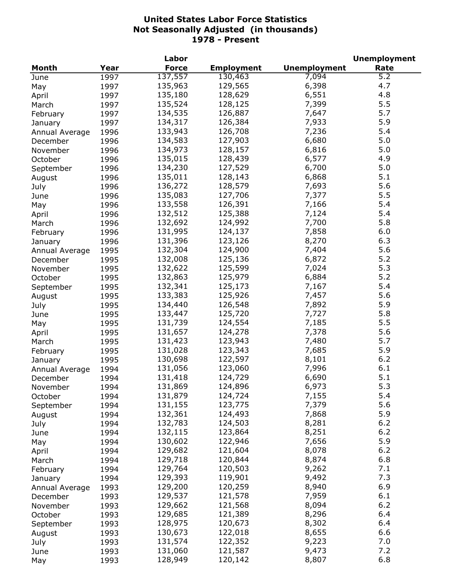|                |      | Labor        |                   |                     | <b>Unemployment</b> |
|----------------|------|--------------|-------------------|---------------------|---------------------|
| <b>Month</b>   | Year | <b>Force</b> | <b>Employment</b> | <b>Unemployment</b> | Rate                |
| June           | 1997 | 137,557      | 130,463           | 7,094               | 5.2                 |
| May            | 1997 | 135,963      | 129,565           | 6,398               | 4.7                 |
| April          | 1997 | 135,180      | 128,629           | 6,551               | 4.8                 |
| March          | 1997 | 135,524      | 128,125           | 7,399               | 5.5                 |
| February       | 1997 | 134,535      | 126,887           | 7,647               | 5.7                 |
| January        | 1997 | 134,317      | 126,384           | 7,933               | 5.9                 |
| Annual Average | 1996 | 133,943      | 126,708           | 7,236               | 5.4                 |
| December       | 1996 | 134,583      | 127,903           | 6,680               | 5.0                 |
| November       | 1996 | 134,973      | 128,157           | 6,816               | 5.0                 |
| October        | 1996 | 135,015      | 128,439           | 6,577               | 4.9                 |
|                | 1996 | 134,230      | 127,529           | 6,700               | 5.0                 |
| September      | 1996 | 135,011      | 128,143           | 6,868               | 5.1                 |
| August         |      | 136,272      | 128,579           | 7,693               | 5.6                 |
| July           | 1996 |              |                   |                     |                     |
| June           | 1996 | 135,083      | 127,706           | 7,377               | 5.5                 |
| May            | 1996 | 133,558      | 126,391           | 7,166               | 5.4                 |
| April          | 1996 | 132,512      | 125,388           | 7,124               | 5.4                 |
| March          | 1996 | 132,692      | 124,992           | 7,700               | 5.8                 |
| February       | 1996 | 131,995      | 124,137           | 7,858               | 6.0                 |
| January        | 1996 | 131,396      | 123,126           | 8,270               | 6.3                 |
| Annual Average | 1995 | 132,304      | 124,900           | 7,404               | 5.6                 |
| December       | 1995 | 132,008      | 125,136           | 6,872               | 5.2                 |
| November       | 1995 | 132,622      | 125,599           | 7,024               | 5.3                 |
| October        | 1995 | 132,863      | 125,979           | 6,884               | 5.2                 |
| September      | 1995 | 132,341      | 125,173           | 7,167               | 5.4                 |
| August         | 1995 | 133,383      | 125,926           | 7,457               | 5.6                 |
| July           | 1995 | 134,440      | 126,548           | 7,892               | 5.9                 |
| June           | 1995 | 133,447      | 125,720           | 7,727               | 5.8                 |
| May            | 1995 | 131,739      | 124,554           | 7,185               | 5.5                 |
| April          | 1995 | 131,657      | 124,278           | 7,378               | 5.6                 |
| March          | 1995 | 131,423      | 123,943           | 7,480               | 5.7                 |
| February       | 1995 | 131,028      | 123,343           | 7,685               | 5.9                 |
| January        | 1995 | 130,698      | 122,597           | 8,101               | 6.2                 |
| Annual Average | 1994 | 131,056      | 123,060           | 7,996               | 6.1                 |
| December       | 1994 | 131,418      | 124,729           | 6,690               | 5.1                 |
| November       | 1994 | 131,869      | 124,896           | 6,973               | $5.3$               |
| October        | 1994 | 131,879      | 124,724           | 7,155               | 5.4                 |
| September      | 1994 | 131,155      | 123,775           | 7,379               | 5.6                 |
| August         | 1994 | 132,361      | 124,493           | 7,868               | 5.9                 |
| July           | 1994 | 132,783      | 124,503           | 8,281               | 6.2                 |
| June           | 1994 | 132,115      | 123,864           | 8,251               | $6.2$               |
| May            | 1994 | 130,602      | 122,946           | 7,656               | 5.9                 |
| April          | 1994 | 129,682      | 121,604           | 8,078               | $6.2$               |
| March          | 1994 | 129,718      | 120,844           | 8,874               | 6.8                 |
|                |      | 129,764      | 120,503           | 9,262               | 7.1                 |
| February       | 1994 | 129,393      | 119,901           | 9,492               | 7.3                 |
| January        | 1994 | 129,200      | 120,259           | 8,940               | 6.9                 |
| Annual Average | 1993 |              |                   |                     |                     |
| December       | 1993 | 129,537      | 121,578           | 7,959               | 6.1                 |
| November       | 1993 | 129,662      | 121,568           | 8,094               | 6.2                 |
| October        | 1993 | 129,685      | 121,389           | 8,296               | 6.4                 |
| September      | 1993 | 128,975      | 120,673           | 8,302               | 6.4                 |
| August         | 1993 | 130,673      | 122,018           | 8,655               | 6.6                 |
| July           | 1993 | 131,574      | 122,352           | 9,223               | 7.0                 |
| June           | 1993 | 131,060      | 121,587           | 9,473               | 7.2                 |
| May            | 1993 | 128,949      | 120,142           | 8,807               | 6.8                 |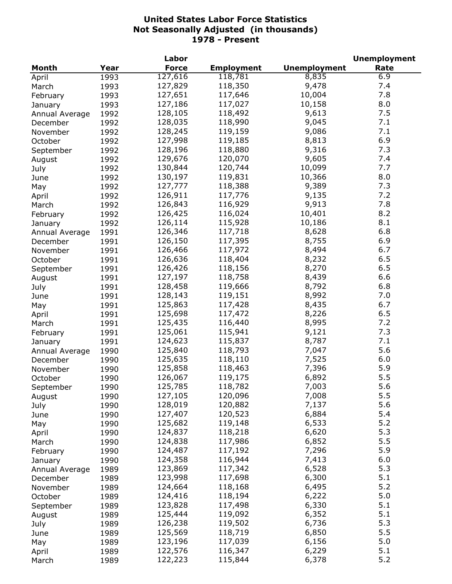| <b>Unemployment</b><br>Year<br><b>Force</b><br><b>Employment</b><br>Rate<br>Month<br>127,616<br>118,781<br>6.9<br>8,835<br>1993<br>9,478<br>7.4<br>127,829<br>118,350<br>1993<br>March<br>7.8<br>127,651<br>117,646<br>10,004<br>1993<br>February<br>8.0<br>127,186<br>117,027<br>10,158<br>1993<br>January<br>7.5<br>128,105<br>118,492<br>9,613<br>1992<br>Annual Average<br>128,035<br>118,990<br>9,045<br>7.1<br>1992<br>December<br>7.1<br>128,245<br>119,159<br>9,086<br>1992<br>November<br>6.9<br>127,998<br>119,185<br>8,813<br>1992<br>October<br>7.3<br>128,196<br>118,880<br>9,316<br>1992<br>September<br>129,676<br>120,070<br>9,605<br>7.4<br>1992<br>August<br>7.7<br>10,099<br>130,844<br>120,744<br>1992<br>July<br>10,366<br>8.0<br>130,197<br>119,831<br>1992<br>June<br>127,777<br>7.3<br>118,388<br>9,389<br>1992<br>May<br>126,911<br>117,776<br>9,135<br>7.2<br>1992<br>April<br>126,843<br>9,913<br>7.8<br>116,929<br>1992<br>March<br>126,425<br>116,024<br>10,401<br>8.2<br>1992<br>February<br>126,114<br>115,928<br>10,186<br>8.1<br>1992<br>January<br>126,346<br>6.8<br>117,718<br>8,628<br>1991<br>Annual Average<br>6.9<br>126,150<br>117,395<br>8,755<br>1991<br>December<br>117,972<br>6.7<br>126,466<br>8,494<br>1991<br>November<br>118,404<br>6.5<br>126,636<br>8,232<br>1991<br>October<br>6.5<br>126,426<br>118,156<br>8,270<br>1991<br>September<br>127,197<br>118,758<br>8,439<br>6.6<br>1991<br>August<br>128,458<br>119,666<br>8,792<br>6.8<br>1991<br>July<br>8,992<br>7.0<br>128,143<br>119,151<br>1991<br>June<br>6.7<br>125,863<br>117,428<br>8,435<br>1991<br>May<br>8,226<br>125,698<br>117,472<br>6.5<br>1991<br>April<br>8,995<br>7.2<br>125,435<br>116,440<br>1991<br>March<br>125,061<br>115,941<br>9,121<br>7.3<br>1991<br>February<br>124,623<br>115,837<br>8,787<br>7.1<br>1991<br>January<br>125,840<br>5.6<br>118,793<br>7,047<br>1990<br>Annual Average<br>125,635<br>7,525<br>6.0<br>118,110<br>1990<br>December<br>125,858<br>118,463<br>7,396<br>5.9<br>November<br>1990<br>126,067<br>119,175<br>6,892<br>5.5<br>1990<br>October<br>125,785<br>118,782<br>5.6<br>7,003<br>September<br>1990<br>5.5<br>120,096<br>7,008<br>127,105<br>1990<br>August<br>5.6<br>128,019<br>120,882<br>7,137<br>1990<br>July<br>5.4<br>127,407<br>120,523<br>6,884<br>1990<br>June<br>5.2<br>125,682<br>119,148<br>6,533<br>1990<br>May<br>5.3<br>124,837<br>118,218<br>6,620<br>1990<br>April<br>5.5<br>124,838<br>117,986<br>6,852<br>1990<br>March<br>5.9<br>124,487<br>117,192<br>7,296<br>1990<br>February<br>6.0<br>124,358<br>116,944<br>7,413<br>1990<br>January<br>5.3<br>123,869<br>117,342<br>6,528<br>1989<br>Annual Average<br>5.1<br>123,998<br>117,698<br>6,300<br>1989<br>December<br>5.2<br>124,664<br>118,168<br>6,495<br>1989<br>November<br>124,416<br>5.0<br>118,194<br>6,222<br>1989<br>October<br>123,828<br>117,498<br>5.1<br>6,330<br>1989<br>September<br>5.1<br>125,444<br>119,092<br>6,352<br>1989<br>August<br>126,238<br>119,502<br>5.3<br>6,736<br>1989<br>July<br>5.5<br>125,569<br>6,850<br>118,719<br>1989<br>June<br>123,196<br>5.0<br>117,039<br>6,156<br>1989<br>May<br>5.1<br>122,576<br>116,347<br>6,229<br>1989<br>April |       | Labor |  | <b>Unemployment</b> |
|---------------------------------------------------------------------------------------------------------------------------------------------------------------------------------------------------------------------------------------------------------------------------------------------------------------------------------------------------------------------------------------------------------------------------------------------------------------------------------------------------------------------------------------------------------------------------------------------------------------------------------------------------------------------------------------------------------------------------------------------------------------------------------------------------------------------------------------------------------------------------------------------------------------------------------------------------------------------------------------------------------------------------------------------------------------------------------------------------------------------------------------------------------------------------------------------------------------------------------------------------------------------------------------------------------------------------------------------------------------------------------------------------------------------------------------------------------------------------------------------------------------------------------------------------------------------------------------------------------------------------------------------------------------------------------------------------------------------------------------------------------------------------------------------------------------------------------------------------------------------------------------------------------------------------------------------------------------------------------------------------------------------------------------------------------------------------------------------------------------------------------------------------------------------------------------------------------------------------------------------------------------------------------------------------------------------------------------------------------------------------------------------------------------------------------------------------------------------------------------------------------------------------------------------------------------------------------------------------------------------------------------------------------------------------------------------------------------------------------------------------------------------------------------------------------------------------------------------------------------------------------------------------------------------------------------------------------------------------------------------------------------------------------------------------------------------------------------------------------------------------------------------------------------------------------------------------------------|-------|-------|--|---------------------|
|                                                                                                                                                                                                                                                                                                                                                                                                                                                                                                                                                                                                                                                                                                                                                                                                                                                                                                                                                                                                                                                                                                                                                                                                                                                                                                                                                                                                                                                                                                                                                                                                                                                                                                                                                                                                                                                                                                                                                                                                                                                                                                                                                                                                                                                                                                                                                                                                                                                                                                                                                                                                                                                                                                                                                                                                                                                                                                                                                                                                                                                                                                                                                                                                               |       |       |  |                     |
|                                                                                                                                                                                                                                                                                                                                                                                                                                                                                                                                                                                                                                                                                                                                                                                                                                                                                                                                                                                                                                                                                                                                                                                                                                                                                                                                                                                                                                                                                                                                                                                                                                                                                                                                                                                                                                                                                                                                                                                                                                                                                                                                                                                                                                                                                                                                                                                                                                                                                                                                                                                                                                                                                                                                                                                                                                                                                                                                                                                                                                                                                                                                                                                                               | April |       |  |                     |
|                                                                                                                                                                                                                                                                                                                                                                                                                                                                                                                                                                                                                                                                                                                                                                                                                                                                                                                                                                                                                                                                                                                                                                                                                                                                                                                                                                                                                                                                                                                                                                                                                                                                                                                                                                                                                                                                                                                                                                                                                                                                                                                                                                                                                                                                                                                                                                                                                                                                                                                                                                                                                                                                                                                                                                                                                                                                                                                                                                                                                                                                                                                                                                                                               |       |       |  |                     |
|                                                                                                                                                                                                                                                                                                                                                                                                                                                                                                                                                                                                                                                                                                                                                                                                                                                                                                                                                                                                                                                                                                                                                                                                                                                                                                                                                                                                                                                                                                                                                                                                                                                                                                                                                                                                                                                                                                                                                                                                                                                                                                                                                                                                                                                                                                                                                                                                                                                                                                                                                                                                                                                                                                                                                                                                                                                                                                                                                                                                                                                                                                                                                                                                               |       |       |  |                     |
|                                                                                                                                                                                                                                                                                                                                                                                                                                                                                                                                                                                                                                                                                                                                                                                                                                                                                                                                                                                                                                                                                                                                                                                                                                                                                                                                                                                                                                                                                                                                                                                                                                                                                                                                                                                                                                                                                                                                                                                                                                                                                                                                                                                                                                                                                                                                                                                                                                                                                                                                                                                                                                                                                                                                                                                                                                                                                                                                                                                                                                                                                                                                                                                                               |       |       |  |                     |
|                                                                                                                                                                                                                                                                                                                                                                                                                                                                                                                                                                                                                                                                                                                                                                                                                                                                                                                                                                                                                                                                                                                                                                                                                                                                                                                                                                                                                                                                                                                                                                                                                                                                                                                                                                                                                                                                                                                                                                                                                                                                                                                                                                                                                                                                                                                                                                                                                                                                                                                                                                                                                                                                                                                                                                                                                                                                                                                                                                                                                                                                                                                                                                                                               |       |       |  |                     |
|                                                                                                                                                                                                                                                                                                                                                                                                                                                                                                                                                                                                                                                                                                                                                                                                                                                                                                                                                                                                                                                                                                                                                                                                                                                                                                                                                                                                                                                                                                                                                                                                                                                                                                                                                                                                                                                                                                                                                                                                                                                                                                                                                                                                                                                                                                                                                                                                                                                                                                                                                                                                                                                                                                                                                                                                                                                                                                                                                                                                                                                                                                                                                                                                               |       |       |  |                     |
|                                                                                                                                                                                                                                                                                                                                                                                                                                                                                                                                                                                                                                                                                                                                                                                                                                                                                                                                                                                                                                                                                                                                                                                                                                                                                                                                                                                                                                                                                                                                                                                                                                                                                                                                                                                                                                                                                                                                                                                                                                                                                                                                                                                                                                                                                                                                                                                                                                                                                                                                                                                                                                                                                                                                                                                                                                                                                                                                                                                                                                                                                                                                                                                                               |       |       |  |                     |
|                                                                                                                                                                                                                                                                                                                                                                                                                                                                                                                                                                                                                                                                                                                                                                                                                                                                                                                                                                                                                                                                                                                                                                                                                                                                                                                                                                                                                                                                                                                                                                                                                                                                                                                                                                                                                                                                                                                                                                                                                                                                                                                                                                                                                                                                                                                                                                                                                                                                                                                                                                                                                                                                                                                                                                                                                                                                                                                                                                                                                                                                                                                                                                                                               |       |       |  |                     |
|                                                                                                                                                                                                                                                                                                                                                                                                                                                                                                                                                                                                                                                                                                                                                                                                                                                                                                                                                                                                                                                                                                                                                                                                                                                                                                                                                                                                                                                                                                                                                                                                                                                                                                                                                                                                                                                                                                                                                                                                                                                                                                                                                                                                                                                                                                                                                                                                                                                                                                                                                                                                                                                                                                                                                                                                                                                                                                                                                                                                                                                                                                                                                                                                               |       |       |  |                     |
|                                                                                                                                                                                                                                                                                                                                                                                                                                                                                                                                                                                                                                                                                                                                                                                                                                                                                                                                                                                                                                                                                                                                                                                                                                                                                                                                                                                                                                                                                                                                                                                                                                                                                                                                                                                                                                                                                                                                                                                                                                                                                                                                                                                                                                                                                                                                                                                                                                                                                                                                                                                                                                                                                                                                                                                                                                                                                                                                                                                                                                                                                                                                                                                                               |       |       |  |                     |
|                                                                                                                                                                                                                                                                                                                                                                                                                                                                                                                                                                                                                                                                                                                                                                                                                                                                                                                                                                                                                                                                                                                                                                                                                                                                                                                                                                                                                                                                                                                                                                                                                                                                                                                                                                                                                                                                                                                                                                                                                                                                                                                                                                                                                                                                                                                                                                                                                                                                                                                                                                                                                                                                                                                                                                                                                                                                                                                                                                                                                                                                                                                                                                                                               |       |       |  |                     |
|                                                                                                                                                                                                                                                                                                                                                                                                                                                                                                                                                                                                                                                                                                                                                                                                                                                                                                                                                                                                                                                                                                                                                                                                                                                                                                                                                                                                                                                                                                                                                                                                                                                                                                                                                                                                                                                                                                                                                                                                                                                                                                                                                                                                                                                                                                                                                                                                                                                                                                                                                                                                                                                                                                                                                                                                                                                                                                                                                                                                                                                                                                                                                                                                               |       |       |  |                     |
|                                                                                                                                                                                                                                                                                                                                                                                                                                                                                                                                                                                                                                                                                                                                                                                                                                                                                                                                                                                                                                                                                                                                                                                                                                                                                                                                                                                                                                                                                                                                                                                                                                                                                                                                                                                                                                                                                                                                                                                                                                                                                                                                                                                                                                                                                                                                                                                                                                                                                                                                                                                                                                                                                                                                                                                                                                                                                                                                                                                                                                                                                                                                                                                                               |       |       |  |                     |
|                                                                                                                                                                                                                                                                                                                                                                                                                                                                                                                                                                                                                                                                                                                                                                                                                                                                                                                                                                                                                                                                                                                                                                                                                                                                                                                                                                                                                                                                                                                                                                                                                                                                                                                                                                                                                                                                                                                                                                                                                                                                                                                                                                                                                                                                                                                                                                                                                                                                                                                                                                                                                                                                                                                                                                                                                                                                                                                                                                                                                                                                                                                                                                                                               |       |       |  |                     |
|                                                                                                                                                                                                                                                                                                                                                                                                                                                                                                                                                                                                                                                                                                                                                                                                                                                                                                                                                                                                                                                                                                                                                                                                                                                                                                                                                                                                                                                                                                                                                                                                                                                                                                                                                                                                                                                                                                                                                                                                                                                                                                                                                                                                                                                                                                                                                                                                                                                                                                                                                                                                                                                                                                                                                                                                                                                                                                                                                                                                                                                                                                                                                                                                               |       |       |  |                     |
|                                                                                                                                                                                                                                                                                                                                                                                                                                                                                                                                                                                                                                                                                                                                                                                                                                                                                                                                                                                                                                                                                                                                                                                                                                                                                                                                                                                                                                                                                                                                                                                                                                                                                                                                                                                                                                                                                                                                                                                                                                                                                                                                                                                                                                                                                                                                                                                                                                                                                                                                                                                                                                                                                                                                                                                                                                                                                                                                                                                                                                                                                                                                                                                                               |       |       |  |                     |
|                                                                                                                                                                                                                                                                                                                                                                                                                                                                                                                                                                                                                                                                                                                                                                                                                                                                                                                                                                                                                                                                                                                                                                                                                                                                                                                                                                                                                                                                                                                                                                                                                                                                                                                                                                                                                                                                                                                                                                                                                                                                                                                                                                                                                                                                                                                                                                                                                                                                                                                                                                                                                                                                                                                                                                                                                                                                                                                                                                                                                                                                                                                                                                                                               |       |       |  |                     |
|                                                                                                                                                                                                                                                                                                                                                                                                                                                                                                                                                                                                                                                                                                                                                                                                                                                                                                                                                                                                                                                                                                                                                                                                                                                                                                                                                                                                                                                                                                                                                                                                                                                                                                                                                                                                                                                                                                                                                                                                                                                                                                                                                                                                                                                                                                                                                                                                                                                                                                                                                                                                                                                                                                                                                                                                                                                                                                                                                                                                                                                                                                                                                                                                               |       |       |  |                     |
|                                                                                                                                                                                                                                                                                                                                                                                                                                                                                                                                                                                                                                                                                                                                                                                                                                                                                                                                                                                                                                                                                                                                                                                                                                                                                                                                                                                                                                                                                                                                                                                                                                                                                                                                                                                                                                                                                                                                                                                                                                                                                                                                                                                                                                                                                                                                                                                                                                                                                                                                                                                                                                                                                                                                                                                                                                                                                                                                                                                                                                                                                                                                                                                                               |       |       |  |                     |
|                                                                                                                                                                                                                                                                                                                                                                                                                                                                                                                                                                                                                                                                                                                                                                                                                                                                                                                                                                                                                                                                                                                                                                                                                                                                                                                                                                                                                                                                                                                                                                                                                                                                                                                                                                                                                                                                                                                                                                                                                                                                                                                                                                                                                                                                                                                                                                                                                                                                                                                                                                                                                                                                                                                                                                                                                                                                                                                                                                                                                                                                                                                                                                                                               |       |       |  |                     |
|                                                                                                                                                                                                                                                                                                                                                                                                                                                                                                                                                                                                                                                                                                                                                                                                                                                                                                                                                                                                                                                                                                                                                                                                                                                                                                                                                                                                                                                                                                                                                                                                                                                                                                                                                                                                                                                                                                                                                                                                                                                                                                                                                                                                                                                                                                                                                                                                                                                                                                                                                                                                                                                                                                                                                                                                                                                                                                                                                                                                                                                                                                                                                                                                               |       |       |  |                     |
|                                                                                                                                                                                                                                                                                                                                                                                                                                                                                                                                                                                                                                                                                                                                                                                                                                                                                                                                                                                                                                                                                                                                                                                                                                                                                                                                                                                                                                                                                                                                                                                                                                                                                                                                                                                                                                                                                                                                                                                                                                                                                                                                                                                                                                                                                                                                                                                                                                                                                                                                                                                                                                                                                                                                                                                                                                                                                                                                                                                                                                                                                                                                                                                                               |       |       |  |                     |
|                                                                                                                                                                                                                                                                                                                                                                                                                                                                                                                                                                                                                                                                                                                                                                                                                                                                                                                                                                                                                                                                                                                                                                                                                                                                                                                                                                                                                                                                                                                                                                                                                                                                                                                                                                                                                                                                                                                                                                                                                                                                                                                                                                                                                                                                                                                                                                                                                                                                                                                                                                                                                                                                                                                                                                                                                                                                                                                                                                                                                                                                                                                                                                                                               |       |       |  |                     |
|                                                                                                                                                                                                                                                                                                                                                                                                                                                                                                                                                                                                                                                                                                                                                                                                                                                                                                                                                                                                                                                                                                                                                                                                                                                                                                                                                                                                                                                                                                                                                                                                                                                                                                                                                                                                                                                                                                                                                                                                                                                                                                                                                                                                                                                                                                                                                                                                                                                                                                                                                                                                                                                                                                                                                                                                                                                                                                                                                                                                                                                                                                                                                                                                               |       |       |  |                     |
|                                                                                                                                                                                                                                                                                                                                                                                                                                                                                                                                                                                                                                                                                                                                                                                                                                                                                                                                                                                                                                                                                                                                                                                                                                                                                                                                                                                                                                                                                                                                                                                                                                                                                                                                                                                                                                                                                                                                                                                                                                                                                                                                                                                                                                                                                                                                                                                                                                                                                                                                                                                                                                                                                                                                                                                                                                                                                                                                                                                                                                                                                                                                                                                                               |       |       |  |                     |
|                                                                                                                                                                                                                                                                                                                                                                                                                                                                                                                                                                                                                                                                                                                                                                                                                                                                                                                                                                                                                                                                                                                                                                                                                                                                                                                                                                                                                                                                                                                                                                                                                                                                                                                                                                                                                                                                                                                                                                                                                                                                                                                                                                                                                                                                                                                                                                                                                                                                                                                                                                                                                                                                                                                                                                                                                                                                                                                                                                                                                                                                                                                                                                                                               |       |       |  |                     |
|                                                                                                                                                                                                                                                                                                                                                                                                                                                                                                                                                                                                                                                                                                                                                                                                                                                                                                                                                                                                                                                                                                                                                                                                                                                                                                                                                                                                                                                                                                                                                                                                                                                                                                                                                                                                                                                                                                                                                                                                                                                                                                                                                                                                                                                                                                                                                                                                                                                                                                                                                                                                                                                                                                                                                                                                                                                                                                                                                                                                                                                                                                                                                                                                               |       |       |  |                     |
|                                                                                                                                                                                                                                                                                                                                                                                                                                                                                                                                                                                                                                                                                                                                                                                                                                                                                                                                                                                                                                                                                                                                                                                                                                                                                                                                                                                                                                                                                                                                                                                                                                                                                                                                                                                                                                                                                                                                                                                                                                                                                                                                                                                                                                                                                                                                                                                                                                                                                                                                                                                                                                                                                                                                                                                                                                                                                                                                                                                                                                                                                                                                                                                                               |       |       |  |                     |
|                                                                                                                                                                                                                                                                                                                                                                                                                                                                                                                                                                                                                                                                                                                                                                                                                                                                                                                                                                                                                                                                                                                                                                                                                                                                                                                                                                                                                                                                                                                                                                                                                                                                                                                                                                                                                                                                                                                                                                                                                                                                                                                                                                                                                                                                                                                                                                                                                                                                                                                                                                                                                                                                                                                                                                                                                                                                                                                                                                                                                                                                                                                                                                                                               |       |       |  |                     |
|                                                                                                                                                                                                                                                                                                                                                                                                                                                                                                                                                                                                                                                                                                                                                                                                                                                                                                                                                                                                                                                                                                                                                                                                                                                                                                                                                                                                                                                                                                                                                                                                                                                                                                                                                                                                                                                                                                                                                                                                                                                                                                                                                                                                                                                                                                                                                                                                                                                                                                                                                                                                                                                                                                                                                                                                                                                                                                                                                                                                                                                                                                                                                                                                               |       |       |  |                     |
|                                                                                                                                                                                                                                                                                                                                                                                                                                                                                                                                                                                                                                                                                                                                                                                                                                                                                                                                                                                                                                                                                                                                                                                                                                                                                                                                                                                                                                                                                                                                                                                                                                                                                                                                                                                                                                                                                                                                                                                                                                                                                                                                                                                                                                                                                                                                                                                                                                                                                                                                                                                                                                                                                                                                                                                                                                                                                                                                                                                                                                                                                                                                                                                                               |       |       |  |                     |
|                                                                                                                                                                                                                                                                                                                                                                                                                                                                                                                                                                                                                                                                                                                                                                                                                                                                                                                                                                                                                                                                                                                                                                                                                                                                                                                                                                                                                                                                                                                                                                                                                                                                                                                                                                                                                                                                                                                                                                                                                                                                                                                                                                                                                                                                                                                                                                                                                                                                                                                                                                                                                                                                                                                                                                                                                                                                                                                                                                                                                                                                                                                                                                                                               |       |       |  |                     |
|                                                                                                                                                                                                                                                                                                                                                                                                                                                                                                                                                                                                                                                                                                                                                                                                                                                                                                                                                                                                                                                                                                                                                                                                                                                                                                                                                                                                                                                                                                                                                                                                                                                                                                                                                                                                                                                                                                                                                                                                                                                                                                                                                                                                                                                                                                                                                                                                                                                                                                                                                                                                                                                                                                                                                                                                                                                                                                                                                                                                                                                                                                                                                                                                               |       |       |  |                     |
|                                                                                                                                                                                                                                                                                                                                                                                                                                                                                                                                                                                                                                                                                                                                                                                                                                                                                                                                                                                                                                                                                                                                                                                                                                                                                                                                                                                                                                                                                                                                                                                                                                                                                                                                                                                                                                                                                                                                                                                                                                                                                                                                                                                                                                                                                                                                                                                                                                                                                                                                                                                                                                                                                                                                                                                                                                                                                                                                                                                                                                                                                                                                                                                                               |       |       |  |                     |
|                                                                                                                                                                                                                                                                                                                                                                                                                                                                                                                                                                                                                                                                                                                                                                                                                                                                                                                                                                                                                                                                                                                                                                                                                                                                                                                                                                                                                                                                                                                                                                                                                                                                                                                                                                                                                                                                                                                                                                                                                                                                                                                                                                                                                                                                                                                                                                                                                                                                                                                                                                                                                                                                                                                                                                                                                                                                                                                                                                                                                                                                                                                                                                                                               |       |       |  |                     |
|                                                                                                                                                                                                                                                                                                                                                                                                                                                                                                                                                                                                                                                                                                                                                                                                                                                                                                                                                                                                                                                                                                                                                                                                                                                                                                                                                                                                                                                                                                                                                                                                                                                                                                                                                                                                                                                                                                                                                                                                                                                                                                                                                                                                                                                                                                                                                                                                                                                                                                                                                                                                                                                                                                                                                                                                                                                                                                                                                                                                                                                                                                                                                                                                               |       |       |  |                     |
|                                                                                                                                                                                                                                                                                                                                                                                                                                                                                                                                                                                                                                                                                                                                                                                                                                                                                                                                                                                                                                                                                                                                                                                                                                                                                                                                                                                                                                                                                                                                                                                                                                                                                                                                                                                                                                                                                                                                                                                                                                                                                                                                                                                                                                                                                                                                                                                                                                                                                                                                                                                                                                                                                                                                                                                                                                                                                                                                                                                                                                                                                                                                                                                                               |       |       |  |                     |
|                                                                                                                                                                                                                                                                                                                                                                                                                                                                                                                                                                                                                                                                                                                                                                                                                                                                                                                                                                                                                                                                                                                                                                                                                                                                                                                                                                                                                                                                                                                                                                                                                                                                                                                                                                                                                                                                                                                                                                                                                                                                                                                                                                                                                                                                                                                                                                                                                                                                                                                                                                                                                                                                                                                                                                                                                                                                                                                                                                                                                                                                                                                                                                                                               |       |       |  |                     |
|                                                                                                                                                                                                                                                                                                                                                                                                                                                                                                                                                                                                                                                                                                                                                                                                                                                                                                                                                                                                                                                                                                                                                                                                                                                                                                                                                                                                                                                                                                                                                                                                                                                                                                                                                                                                                                                                                                                                                                                                                                                                                                                                                                                                                                                                                                                                                                                                                                                                                                                                                                                                                                                                                                                                                                                                                                                                                                                                                                                                                                                                                                                                                                                                               |       |       |  |                     |
|                                                                                                                                                                                                                                                                                                                                                                                                                                                                                                                                                                                                                                                                                                                                                                                                                                                                                                                                                                                                                                                                                                                                                                                                                                                                                                                                                                                                                                                                                                                                                                                                                                                                                                                                                                                                                                                                                                                                                                                                                                                                                                                                                                                                                                                                                                                                                                                                                                                                                                                                                                                                                                                                                                                                                                                                                                                                                                                                                                                                                                                                                                                                                                                                               |       |       |  |                     |
|                                                                                                                                                                                                                                                                                                                                                                                                                                                                                                                                                                                                                                                                                                                                                                                                                                                                                                                                                                                                                                                                                                                                                                                                                                                                                                                                                                                                                                                                                                                                                                                                                                                                                                                                                                                                                                                                                                                                                                                                                                                                                                                                                                                                                                                                                                                                                                                                                                                                                                                                                                                                                                                                                                                                                                                                                                                                                                                                                                                                                                                                                                                                                                                                               |       |       |  |                     |
|                                                                                                                                                                                                                                                                                                                                                                                                                                                                                                                                                                                                                                                                                                                                                                                                                                                                                                                                                                                                                                                                                                                                                                                                                                                                                                                                                                                                                                                                                                                                                                                                                                                                                                                                                                                                                                                                                                                                                                                                                                                                                                                                                                                                                                                                                                                                                                                                                                                                                                                                                                                                                                                                                                                                                                                                                                                                                                                                                                                                                                                                                                                                                                                                               |       |       |  |                     |
|                                                                                                                                                                                                                                                                                                                                                                                                                                                                                                                                                                                                                                                                                                                                                                                                                                                                                                                                                                                                                                                                                                                                                                                                                                                                                                                                                                                                                                                                                                                                                                                                                                                                                                                                                                                                                                                                                                                                                                                                                                                                                                                                                                                                                                                                                                                                                                                                                                                                                                                                                                                                                                                                                                                                                                                                                                                                                                                                                                                                                                                                                                                                                                                                               |       |       |  |                     |
|                                                                                                                                                                                                                                                                                                                                                                                                                                                                                                                                                                                                                                                                                                                                                                                                                                                                                                                                                                                                                                                                                                                                                                                                                                                                                                                                                                                                                                                                                                                                                                                                                                                                                                                                                                                                                                                                                                                                                                                                                                                                                                                                                                                                                                                                                                                                                                                                                                                                                                                                                                                                                                                                                                                                                                                                                                                                                                                                                                                                                                                                                                                                                                                                               |       |       |  |                     |
|                                                                                                                                                                                                                                                                                                                                                                                                                                                                                                                                                                                                                                                                                                                                                                                                                                                                                                                                                                                                                                                                                                                                                                                                                                                                                                                                                                                                                                                                                                                                                                                                                                                                                                                                                                                                                                                                                                                                                                                                                                                                                                                                                                                                                                                                                                                                                                                                                                                                                                                                                                                                                                                                                                                                                                                                                                                                                                                                                                                                                                                                                                                                                                                                               |       |       |  |                     |
|                                                                                                                                                                                                                                                                                                                                                                                                                                                                                                                                                                                                                                                                                                                                                                                                                                                                                                                                                                                                                                                                                                                                                                                                                                                                                                                                                                                                                                                                                                                                                                                                                                                                                                                                                                                                                                                                                                                                                                                                                                                                                                                                                                                                                                                                                                                                                                                                                                                                                                                                                                                                                                                                                                                                                                                                                                                                                                                                                                                                                                                                                                                                                                                                               |       |       |  |                     |
|                                                                                                                                                                                                                                                                                                                                                                                                                                                                                                                                                                                                                                                                                                                                                                                                                                                                                                                                                                                                                                                                                                                                                                                                                                                                                                                                                                                                                                                                                                                                                                                                                                                                                                                                                                                                                                                                                                                                                                                                                                                                                                                                                                                                                                                                                                                                                                                                                                                                                                                                                                                                                                                                                                                                                                                                                                                                                                                                                                                                                                                                                                                                                                                                               |       |       |  |                     |
|                                                                                                                                                                                                                                                                                                                                                                                                                                                                                                                                                                                                                                                                                                                                                                                                                                                                                                                                                                                                                                                                                                                                                                                                                                                                                                                                                                                                                                                                                                                                                                                                                                                                                                                                                                                                                                                                                                                                                                                                                                                                                                                                                                                                                                                                                                                                                                                                                                                                                                                                                                                                                                                                                                                                                                                                                                                                                                                                                                                                                                                                                                                                                                                                               |       |       |  |                     |
|                                                                                                                                                                                                                                                                                                                                                                                                                                                                                                                                                                                                                                                                                                                                                                                                                                                                                                                                                                                                                                                                                                                                                                                                                                                                                                                                                                                                                                                                                                                                                                                                                                                                                                                                                                                                                                                                                                                                                                                                                                                                                                                                                                                                                                                                                                                                                                                                                                                                                                                                                                                                                                                                                                                                                                                                                                                                                                                                                                                                                                                                                                                                                                                                               |       |       |  |                     |
|                                                                                                                                                                                                                                                                                                                                                                                                                                                                                                                                                                                                                                                                                                                                                                                                                                                                                                                                                                                                                                                                                                                                                                                                                                                                                                                                                                                                                                                                                                                                                                                                                                                                                                                                                                                                                                                                                                                                                                                                                                                                                                                                                                                                                                                                                                                                                                                                                                                                                                                                                                                                                                                                                                                                                                                                                                                                                                                                                                                                                                                                                                                                                                                                               |       |       |  |                     |
|                                                                                                                                                                                                                                                                                                                                                                                                                                                                                                                                                                                                                                                                                                                                                                                                                                                                                                                                                                                                                                                                                                                                                                                                                                                                                                                                                                                                                                                                                                                                                                                                                                                                                                                                                                                                                                                                                                                                                                                                                                                                                                                                                                                                                                                                                                                                                                                                                                                                                                                                                                                                                                                                                                                                                                                                                                                                                                                                                                                                                                                                                                                                                                                                               |       |       |  |                     |
|                                                                                                                                                                                                                                                                                                                                                                                                                                                                                                                                                                                                                                                                                                                                                                                                                                                                                                                                                                                                                                                                                                                                                                                                                                                                                                                                                                                                                                                                                                                                                                                                                                                                                                                                                                                                                                                                                                                                                                                                                                                                                                                                                                                                                                                                                                                                                                                                                                                                                                                                                                                                                                                                                                                                                                                                                                                                                                                                                                                                                                                                                                                                                                                                               |       |       |  |                     |
|                                                                                                                                                                                                                                                                                                                                                                                                                                                                                                                                                                                                                                                                                                                                                                                                                                                                                                                                                                                                                                                                                                                                                                                                                                                                                                                                                                                                                                                                                                                                                                                                                                                                                                                                                                                                                                                                                                                                                                                                                                                                                                                                                                                                                                                                                                                                                                                                                                                                                                                                                                                                                                                                                                                                                                                                                                                                                                                                                                                                                                                                                                                                                                                                               |       |       |  |                     |
| 5.2<br>122,223<br>115,844<br>6,378<br>1989                                                                                                                                                                                                                                                                                                                                                                                                                                                                                                                                                                                                                                                                                                                                                                                                                                                                                                                                                                                                                                                                                                                                                                                                                                                                                                                                                                                                                                                                                                                                                                                                                                                                                                                                                                                                                                                                                                                                                                                                                                                                                                                                                                                                                                                                                                                                                                                                                                                                                                                                                                                                                                                                                                                                                                                                                                                                                                                                                                                                                                                                                                                                                                    | March |       |  |                     |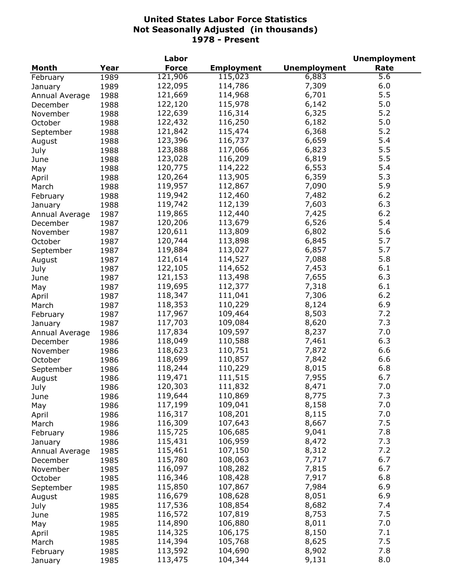|                |      | Labor        |                   |                     | <b>Unemployment</b> |
|----------------|------|--------------|-------------------|---------------------|---------------------|
| <b>Month</b>   | Year | <b>Force</b> | <b>Employment</b> | <b>Unemployment</b> | Rate                |
| February       | 1989 | 121,906      | 115,023           | 6,883               | 5.6                 |
| January        | 1989 | 122,095      | 114,786           | 7,309               | 6.0                 |
| Annual Average | 1988 | 121,669      | 114,968           | 6,701               | 5.5                 |
| December       | 1988 | 122,120      | 115,978           | 6,142               | 5.0                 |
| November       | 1988 | 122,639      | 116,314           | 6,325               | 5.2                 |
| October        | 1988 | 122,432      | 116,250           | 6,182               | 5.0                 |
| September      | 1988 | 121,842      | 115,474           | 6,368               | 5.2                 |
| August         | 1988 | 123,396      | 116,737           | 6,659               | 5.4                 |
| July           | 1988 | 123,888      | 117,066           | 6,823               | 5.5                 |
| June           | 1988 | 123,028      | 116,209           | 6,819               | 5.5                 |
| May            | 1988 | 120,775      | 114,222           | 6,553               | 5.4                 |
| April          | 1988 | 120,264      | 113,905           | 6,359               | 5.3                 |
|                | 1988 | 119,957      | 112,867           | 7,090               | 5.9                 |
| March          |      | 119,942      | 112,460           | 7,482               | 6.2                 |
| February       | 1988 | 119,742      |                   |                     | 6.3                 |
| January        | 1988 |              | 112,139           | 7,603               | 6.2                 |
| Annual Average | 1987 | 119,865      | 112,440           | 7,425               |                     |
| December       | 1987 | 120,206      | 113,679           | 6,526               | 5.4                 |
| November       | 1987 | 120,611      | 113,809           | 6,802               | 5.6                 |
| October        | 1987 | 120,744      | 113,898           | 6,845               | 5.7                 |
| September      | 1987 | 119,884      | 113,027           | 6,857               | 5.7                 |
| August         | 1987 | 121,614      | 114,527           | 7,088               | 5.8                 |
| July           | 1987 | 122,105      | 114,652           | 7,453               | 6.1                 |
| June           | 1987 | 121,153      | 113,498           | 7,655               | 6.3                 |
| May            | 1987 | 119,695      | 112,377           | 7,318               | 6.1                 |
| April          | 1987 | 118,347      | 111,041           | 7,306               | 6.2                 |
| March          | 1987 | 118,353      | 110,229           | 8,124               | 6.9                 |
| February       | 1987 | 117,967      | 109,464           | 8,503               | 7.2                 |
| January        | 1987 | 117,703      | 109,084           | 8,620               | 7.3                 |
| Annual Average | 1986 | 117,834      | 109,597           | 8,237               | 7.0                 |
| December       | 1986 | 118,049      | 110,588           | 7,461               | 6.3                 |
| November       | 1986 | 118,623      | 110,751           | 7,872               | 6.6                 |
| October        | 1986 | 118,699      | 110,857           | 7,842               | 6.6                 |
| September      | 1986 | 118,244      | 110,229           | 8,015               | 6.8                 |
| August         | 1986 | 119,471      | 111,515           | 7,955               | 6.7                 |
| July           | 1986 | 120,303      | 111,832           | 8,471               | 7.0                 |
| June           | 1986 | 119,644      | 110,869           | 8,775               | 7.3                 |
| May            | 1986 | 117,199      | 109,041           | 8,158               | 7.0                 |
| April          | 1986 | 116,317      | 108,201           | 8,115               | 7.0                 |
| March          | 1986 | 116,309      | 107,643           | 8,667               | 7.5                 |
| February       | 1986 | 115,725      | 106,685           | 9,041               | 7.8                 |
| January        | 1986 | 115,431      | 106,959           | 8,472               | 7.3                 |
| Annual Average | 1985 | 115,461      | 107,150           | 8,312               | 7.2                 |
| December       | 1985 | 115,780      | 108,063           | 7,717               | 6.7                 |
| November       | 1985 | 116,097      | 108,282           | 7,815               | 6.7                 |
|                |      | 116,346      | 108,428           | 7,917               | 6.8                 |
| October        | 1985 | 115,850      | 107,867           | 7,984               | 6.9                 |
| September      | 1985 | 116,679      | 108,628           | 8,051               | 6.9                 |
| August         | 1985 |              |                   |                     |                     |
| July           | 1985 | 117,536      | 108,854           | 8,682               | 7.4                 |
| June           | 1985 | 116,572      | 107,819           | 8,753               | 7.5                 |
| May            | 1985 | 114,890      | 106,880           | 8,011               | 7.0                 |
| April          | 1985 | 114,325      | 106,175           | 8,150               | 7.1                 |
| March          | 1985 | 114,394      | 105,768           | 8,625               | 7.5                 |
| February       | 1985 | 113,592      | 104,690           | 8,902               | 7.8                 |
| January        | 1985 | 113,475      | 104,344           | 9,131               | 8.0                 |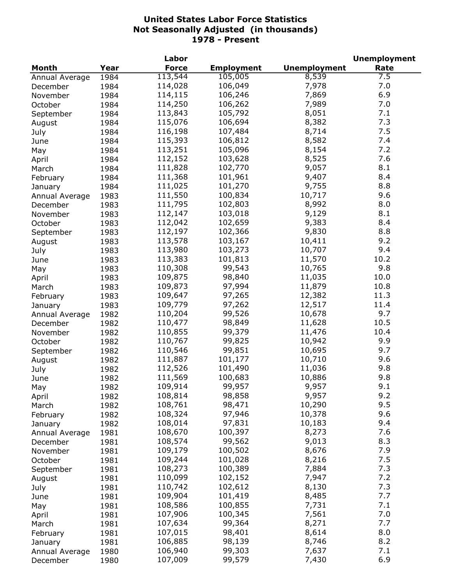|                            |      | Labor        |                   |                     | <b>Unemployment</b> |
|----------------------------|------|--------------|-------------------|---------------------|---------------------|
| Month                      | Year | <b>Force</b> | <b>Employment</b> | <b>Unemployment</b> | Rate                |
| Annual Average             | 1984 | 113,544      | 105,005           | 8,539               | 7.5                 |
| December                   | 1984 | 114,028      | 106,049           | 7,978               | 7.0                 |
| November                   | 1984 | 114,115      | 106,246           | 7,869               | 6.9                 |
| October                    | 1984 | 114,250      | 106,262           | 7,989               | 7.0                 |
| September                  | 1984 | 113,843      | 105,792           | 8,051               | 7.1                 |
| August                     | 1984 | 115,076      | 106,694           | 8,382               | 7.3                 |
| July                       | 1984 | 116,198      | 107,484           | 8,714               | 7.5                 |
| June                       | 1984 | 115,393      | 106,812           | 8,582               | 7.4                 |
| May                        | 1984 | 113,251      | 105,096           | 8,154               | 7.2                 |
| April                      | 1984 | 112,152      | 103,628           | 8,525               | 7.6                 |
| March                      | 1984 | 111,828      | 102,770           | 9,057               | 8.1                 |
| February                   | 1984 | 111,368      | 101,961           | 9,407               | 8.4                 |
| January                    | 1984 | 111,025      | 101,270           | 9,755               | 8.8                 |
| Annual Average             | 1983 | 111,550      | 100,834           | 10,717              | 9.6                 |
| December                   | 1983 | 111,795      | 102,803           | 8,992               | 8.0                 |
| November                   | 1983 | 112,147      | 103,018           | 9,129               | 8.1                 |
| October                    | 1983 | 112,042      | 102,659           | 9,383               | 8.4                 |
| September                  | 1983 | 112,197      | 102,366           | 9,830               | 8.8                 |
| August                     | 1983 | 113,578      | 103,167           | 10,411              | 9.2                 |
| July                       | 1983 | 113,980      | 103,273           | 10,707              | 9.4                 |
| June                       | 1983 | 113,383      | 101,813           | 11,570              | 10.2                |
| May                        | 1983 | 110,308      | 99,543            | 10,765              | 9.8                 |
|                            | 1983 | 109,875      | 98,840            | 11,035              | 10.0                |
| April<br>March             | 1983 | 109,873      | 97,994            | 11,879              | 10.8                |
|                            | 1983 | 109,647      | 97,265            | 12,382              | 11.3                |
| February<br>January        | 1983 | 109,779      | 97,262            | 12,517              | 11.4                |
|                            | 1982 | 110,204      | 99,526            | 10,678              | 9.7                 |
| Annual Average<br>December | 1982 | 110,477      | 98,849            | 11,628              | 10.5                |
| November                   | 1982 | 110,855      | 99,379            | 11,476              | 10.4                |
| October                    | 1982 | 110,767      | 99,825            | 10,942              | 9.9                 |
| September                  | 1982 | 110,546      | 99,851            | 10,695              | 9.7                 |
| August                     | 1982 | 111,887      | 101,177           | 10,710              | 9.6                 |
| July                       | 1982 | 112,526      | 101,490           | 11,036              | 9.8                 |
| June                       | 1982 | 111,569      | 100,683           | 10,886              | 9.8                 |
| May                        | 1982 | 109,914      | 99,957            | 9,957               | 9.1                 |
| April                      | 1982 | 108,814      | 98,858            | 9,957               | 9.2                 |
| March                      | 1982 | 108,761      | 98,471            | 10,290              | 9.5                 |
| February                   | 1982 | 108,324      | 97,946            | 10,378              | 9.6                 |
| January                    | 1982 | 108,014      | 97,831            | 10,183              | 9.4                 |
| Annual Average             | 1981 | 108,670      | 100,397           | 8,273               | 7.6                 |
| December                   | 1981 | 108,574      | 99,562            | 9,013               | 8.3                 |
| November                   | 1981 | 109,179      | 100,502           | 8,676               | 7.9                 |
| October                    | 1981 | 109,244      | 101,028           | 8,216               | 7.5                 |
| September                  | 1981 | 108,273      | 100,389           | 7,884               | 7.3                 |
| August                     | 1981 | 110,099      | 102,152           | 7,947               | 7.2                 |
| July                       | 1981 | 110,742      | 102,612           | 8,130               | 7.3                 |
| June                       | 1981 | 109,904      | 101,419           | 8,485               | 7.7                 |
| May                        | 1981 | 108,586      | 100,855           | 7,731               | 7.1                 |
| April                      | 1981 | 107,906      | 100,345           | 7,561               | 7.0                 |
| March                      | 1981 | 107,634      | 99,364            | 8,271               | 7.7                 |
| February                   | 1981 | 107,015      | 98,401            | 8,614               | 8.0                 |
| January                    | 1981 | 106,885      | 98,139            | 8,746               | 8.2                 |
| Annual Average             | 1980 | 106,940      | 99,303            | 7,637               | 7.1                 |
| December                   | 1980 | 107,009      | 99,579            | 7,430               | 6.9                 |